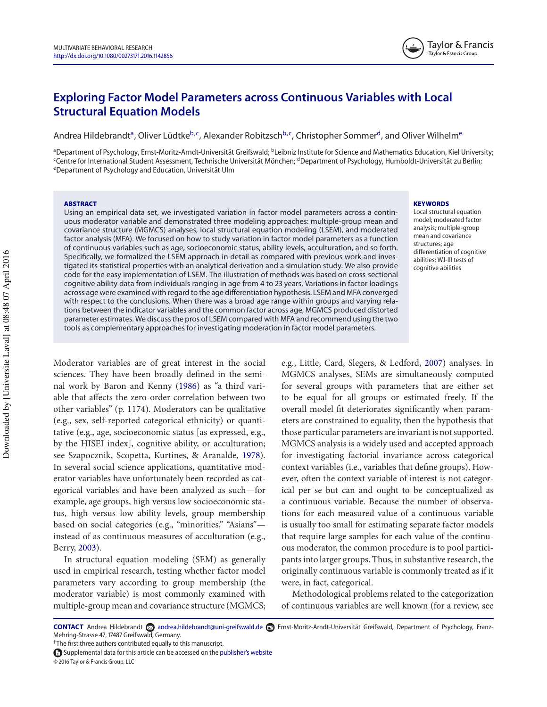# **Exploring Factor Model Parameters across Continuous Variables with Local Structural Equation Models**

Andrea Hildebrandt<sup>a</sup>, Oliver Lüdtke<sup>b,c</sup>, Alexander Robitzsch<sup>b,c</sup>, Christopher Sommer<sup>d</sup>, and Oliver Wilhelm<sup>e</sup>

ªDepartment of Psychology, Ernst-Moritz-Arndt-Universität Greifswald; <sup>b</sup>Leibniz Institute for Science and Mathematics Education, Kiel University; <sup>c</sup>Centre for International Student Assessment, Technische Universität Mönchen; <sup>d</sup>Department of Psychology, Humboldt-Universität zu Berlin; <sup>e</sup>Department of Psychology and Education, Universität Ulm

#### ABSTRACT

Using an empirical data set, we investigated variation in factor model parameters across a continuous moderator variable and demonstrated three modeling approaches: multiple-group mean and covariance structure (MGMCS) analyses, local structural equation modeling (LSEM), and moderated factor analysis (MFA). We focused on how to study variation in factor model parameters as a function of continuous variables such as age, socioeconomic status, ability levels, acculturation, and so forth. Specifically, we formalized the LSEM approach in detail as compared with previous work and investigated its statistical properties with an analytical derivation and a simulation study. We also provide code for the easy implementation of LSEM. The illustration of methods was based on cross-sectional cognitive ability data from individuals ranging in age from 4 to 23 years. Variations in factor loadings across age were examined with regard to the age differentiation hypothesis. LSEM and MFA converged with respect to the conclusions. When there was a broad age range within groups and varying relations between the indicator variables and the common factor across age, MGMCS produced distorted parameter estimates. We discuss the pros of LSEM compared with MFA and recommend using the two tools as complementary approaches for investigating moderation in factor model parameters.

#### **KEYWORDS**

Local structural equation model; moderated factor analysis; multiple-group mean and covariance structures; age differentiation of cognitive abilities; WJ-III tests of cognitive abilities

Taylor & Francis Taylor & Francis Group

Moderator variables are of great interest in the social sciences. They have been broadly defined in the seminal work by Baron and Kenny (1986) as "a third variable that affects the zero-order correlation between two other variables" (p. 1174). Moderators can be qualitative (e.g., sex, self-reported categorical ethnicity) or quantitative (e.g., age, socioeconomic status [as expressed, e.g., by the HISEI index], cognitive ability, or acculturation; see Szapocznik, Scopetta, Kurtines, & Aranalde, 1978). In several social science applications, quantitative moderator variables have unfortunately been recorded as categorical variables and have been analyzed as such—for example, age groups, high versus low socioeconomic status, high versus low ability levels, group membership based on social categories (e.g., "minorities," "Asians" instead of as continuous measures of acculturation (e.g., Berry, 2003).

In structural equation modeling (SEM) as generally used in empirical research, testing whether factor model parameters vary according to group membership (the moderator variable) is most commonly examined with multiple-group mean and covariance structure (MGMCS; e.g., Little, Card, Slegers, & Ledford, 2007) analyses. In MGMCS analyses, SEMs are simultaneously computed for several groups with parameters that are either set to be equal for all groups or estimated freely. If the overall model fit deteriorates significantly when parameters are constrained to equality, then the hypothesis that those particular parameters are invariant is not supported. MGMCS analysis is a widely used and accepted approach for investigating factorial invariance across categorical context variables (i.e., variables that define groups). However, often the context variable of interest is not categorical per se but can and ought to be conceptualized as a continuous variable. Because the number of observations for each measured value of a continuous variable is usually too small for estimating separate factor models that require large samples for each value of the continuous moderator, the common procedure is to pool participants into larger groups. Thus, in substantive research, the originally continuous variable is commonly treated as if it were, in fact, categorical.

Methodological problems related to the categorization of continuous variables are well known (for a review, see

CONTACT Andrea Hildebrandt andrea.hildebrandt@uni-greifswald.de **and Exercity Artical Andrea** Ernst-Moritz-Arndt-Universität Greifswald, Department of Psychology, Franz-Mehring-Strasse 47, 17487 Greifswald, Germany.

<sup>†</sup> The first three authors contributed equally to this manuscript.

Supplemental data for this article can be accessed on the publisher's website

<sup>© 2016</sup> Taylor & Francis Group, LLC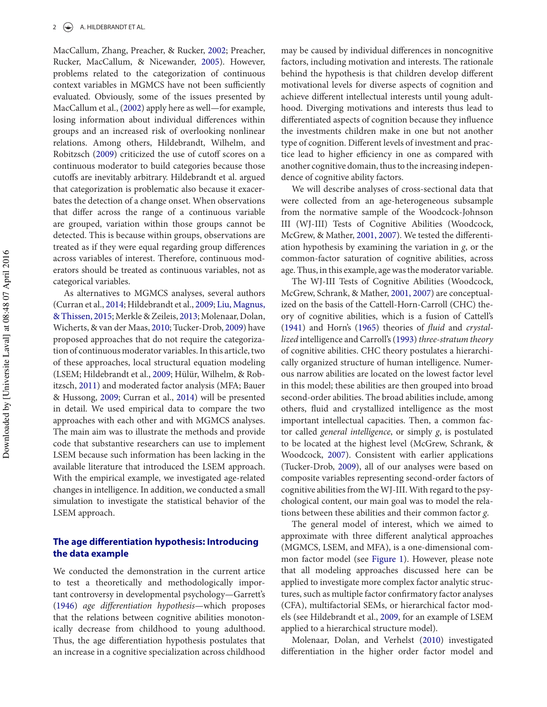MacCallum, Zhang, Preacher, & Rucker, 2002; Preacher, Rucker, MacCallum, & Nicewander, 2005). However, problems related to the categorization of continuous context variables in MGMCS have not been sufficiently evaluated. Obviously, some of the issues presented by MacCallum et al., (2002) apply here as well—for example, losing information about individual differences within groups and an increased risk of overlooking nonlinear relations. Among others, Hildebrandt, Wilhelm, and Robitzsch (2009) criticized the use of cutoff scores on a continuous moderator to build categories because those cutoffs are inevitably arbitrary. Hildebrandt et al. argued that categorization is problematic also because it exacerbates the detection of a change onset. When observations that differ across the range of a continuous variable are grouped, variation within those groups cannot be detected. This is because within groups, observations are treated as if they were equal regarding group differences across variables of interest. Therefore, continuous moderators should be treated as continuous variables, not as categorical variables.

As alternatives to MGMCS analyses, several authors (Curran et al., 2014; Hildebrandt et al., 2009; Liu, Magnus, & Thissen, 2015; Merkle & Zeileis, 2013; Molenaar, Dolan, Wicherts, & van der Maas, 2010; Tucker-Drob, 2009) have proposed approaches that do not require the categorization of continuous moderator variables. In this article, two of these approaches, local structural equation modeling (LSEM; Hildebrandt et al., 2009; Hülür, Wilhelm, & Robitzsch, 2011) and moderated factor analysis (MFA; Bauer & Hussong, 2009; Curran et al., 2014) will be presented in detail. We used empirical data to compare the two approaches with each other and with MGMCS analyses. The main aim was to illustrate the methods and provide code that substantive researchers can use to implement LSEM because such information has been lacking in the available literature that introduced the LSEM approach. With the empirical example, we investigated age-related changes in intelligence. In addition, we conducted a small simulation to investigate the statistical behavior of the LSEM approach.

## **The age differentiation hypothesis: Introducing the data example**

We conducted the demonstration in the current artice to test a theoretically and methodologically important controversy in developmental psychology—Garrett's (1946) age differentiation hypothesis—which proposes that the relations between cognitive abilities monotonically decrease from childhood to young adulthood. Thus, the age differentiation hypothesis postulates that an increase in a cognitive specialization across childhood may be caused by individual differences in noncognitive factors, including motivation and interests. The rationale behind the hypothesis is that children develop different motivational levels for diverse aspects of cognition and achieve different intellectual interests until young adulthood. Diverging motivations and interests thus lead to differentiated aspects of cognition because they influence the investments children make in one but not another type of cognition. Different levels of investment and practice lead to higher efficiency in one as compared with another cognitive domain, thus to the increasing independence of cognitive ability factors.

We will describe analyses of cross-sectional data that were collected from an age-heterogeneous subsample from the normative sample of the Woodcock-Johnson III (WJ-III) Tests of Cognitive Abilities (Woodcock, McGrew, & Mather, 2001, 2007). We tested the differentiation hypothesis by examining the variation in g, or the common-factor saturation of cognitive abilities, across age. Thus, in this example, age was the moderator variable.

The WJ-III Tests of Cognitive Abilities (Woodcock, McGrew, Schrank, & Mather, 2001, 2007) are conceptualized on the basis of the Cattell-Horn-Carroll (CHC) theory of cognitive abilities, which is a fusion of Cattell's (1941) and Horn's (1965) theories of fluid and crystallized intelligence and Carroll's (1993) three-stratum theory of cognitive abilities. CHC theory postulates a hierarchically organized structure of human intelligence. Numerous narrow abilities are located on the lowest factor level in this model; these abilities are then grouped into broad second-order abilities. The broad abilities include, among others, fluid and crystallized intelligence as the most important intellectual capacities. Then, a common factor called general intelligence, or simply g, is postulated to be located at the highest level (McGrew, Schrank, & Woodcock, 2007). Consistent with earlier applications (Tucker-Drob, 2009), all of our analyses were based on composite variables representing second-order factors of cognitive abilities from theWJ-III.With regard to the psychological content, our main goal was to model the relations between these abilities and their common factor g.

The general model of interest, which we aimed to approximate with three different analytical approaches (MGMCS, LSEM, and MFA), is a one-dimensional common factor model (see Figure 1). However, please note that all modeling approaches discussed here can be applied to investigate more complex factor analytic structures, such as multiple factor confirmatory factor analyses (CFA), multifactorial SEMs, or hierarchical factor models (see Hildebrandt et al., 2009, for an example of LSEM applied to a hierarchical structure model).

Molenaar, Dolan, and Verhelst (2010) investigated differentiation in the higher order factor model and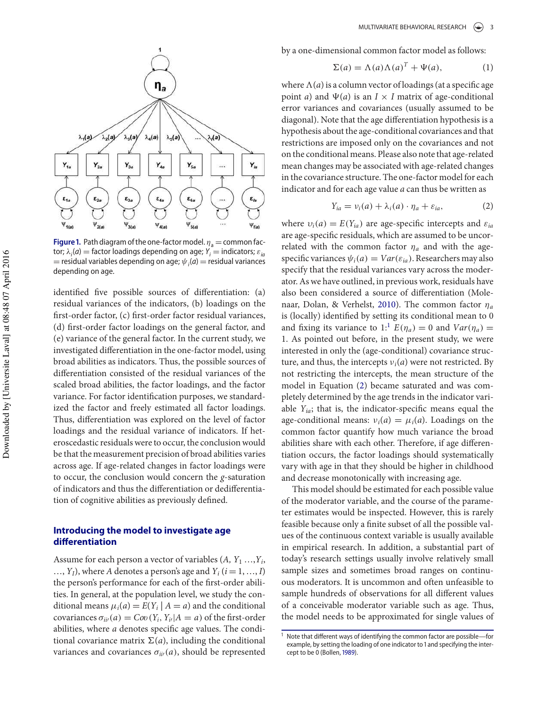

**Figure 1.** Path diagram of the one-factor model.  $\eta_a$  = common factor;  $\lambda_i(a)$  = factor loadings depending on age;  $Y_i$  = indicators;  $\varepsilon_{ia}$ = residual variables depending on age;  $\psi_i(a)$  = residual variances depending on age.

identified five possible sources of differentiation: (a) residual variances of the indicators, (b) loadings on the first-order factor, (c) first-order factor residual variances, (d) first-order factor loadings on the general factor, and (e) variance of the general factor. In the current study, we investigated differentiation in the one-factor model, using broad abilities as indicators. Thus, the possible sources of differentiation consisted of the residual variances of the scaled broad abilities, the factor loadings, and the factor variance. For factor identification purposes, we standardized the factor and freely estimated all factor loadings. Thus, differentiation was explored on the level of factor loadings and the residual variance of indicators. If heteroscedastic residuals were to occur, the conclusion would be that the measurement precision of broad abilities varies across age. If age-related changes in factor loadings were to occur, the conclusion would concern the g-saturation of indicators and thus the differentiation or dedifferentiation of cognitive abilities as previously defined.

## **Introducing the model to investigate age differentiation**

Assume for each person a vector of variables  $(A, Y_1, \ldots, Y_i, Y_i)$  $..., Y_I$ , where A denotes a person's age and  $Y_i$   $(i = 1, ..., I)$ the person's performance for each of the first-order abilities. In general, at the population level, we study the conditional means  $\mu_i(a) = E(Y_i | A = a)$  and the conditional covariances  $\sigma_{ii'}(a) = Cov(Y_i, Y_{i'}|A = a)$  of the first-order abilities, where a denotes specific age values. The conditional covariance matrix  $\Sigma(a)$ , including the conditional variances and covariances  $\sigma_{ii'}(a)$ , should be represented by a one-dimensional common factor model as follows:

$$
\Sigma(a) = \Lambda(a)\Lambda(a)^{T} + \Psi(a), \qquad (1)
$$

where  $\Lambda(a)$  is a column vector of loadings (at a specific age point *a*) and  $\Psi(a)$  is an  $I \times I$  matrix of age-conditional error variances and covariances (usually assumed to be diagonal). Note that the age differentiation hypothesis is a hypothesis about the age-conditional covariances and that restrictions are imposed only on the covariances and not on the conditional means. Please also note that age-related mean changes may be associated with age-related changes in the covariance structure. The one-factor model for each indicator and for each age value *a* can thus be written as

$$
Y_{ia} = \nu_i(a) + \lambda_i(a) \cdot \eta_a + \varepsilon_{ia}, \tag{2}
$$

where  $v_i(a) = E(Y_{ia})$  are age-specific intercepts and  $\varepsilon_{ia}$ are age-specific residuals, which are assumed to be uncorrelated with the common factor  $\eta_a$  and with the agespecific variances  $\psi_i(a) = Var(\varepsilon_{ia})$ . Researchers may also specify that the residual variances vary across the moderator. As we have outlined, in previous work, residuals have also been considered a source of differentiation (Molenaar, Dolan, & Verhelst, 2010). The common factor  $\eta_a$ is (locally) identified by setting its conditional mean to 0 and fixing its variance to 1:<sup>1</sup>  $E(\eta_a) = 0$  and  $Var(\eta_a) =$ 1. As pointed out before, in the present study, we were interested in only the (age-conditional) covariance structure, and thus, the intercepts  $v_i(a)$  were not restricted. By not restricting the intercepts, the mean structure of the model in Equation (2) became saturated and was completely determined by the age trends in the indicator variable  $Y_{ia}$ ; that is, the indicator-specific means equal the age-conditional means:  $v_i(a) = \mu_i(a)$ . Loadings on the common factor quantify how much variance the broad abilities share with each other. Therefore, if age differentiation occurs, the factor loadings should systematically vary with age in that they should be higher in childhood and decrease monotonically with increasing age.

This model should be estimated for each possible value of the moderator variable, and the course of the parameter estimates would be inspected. However, this is rarely feasible because only a finite subset of all the possible values of the continuous context variable is usually available in empirical research. In addition, a substantial part of today's research settings usually involve relatively small sample sizes and sometimes broad ranges on continuous moderators. It is uncommon and often unfeasible to sample hundreds of observations for all different values of a conceivable moderator variable such as age. Thus, the model needs to be approximated for single values of

 $1$  Note that different ways of identifying the common factor are possible—for example, by setting the loading of one indicator to 1 and specifying the intercept to be 0 (Bollen, 1989).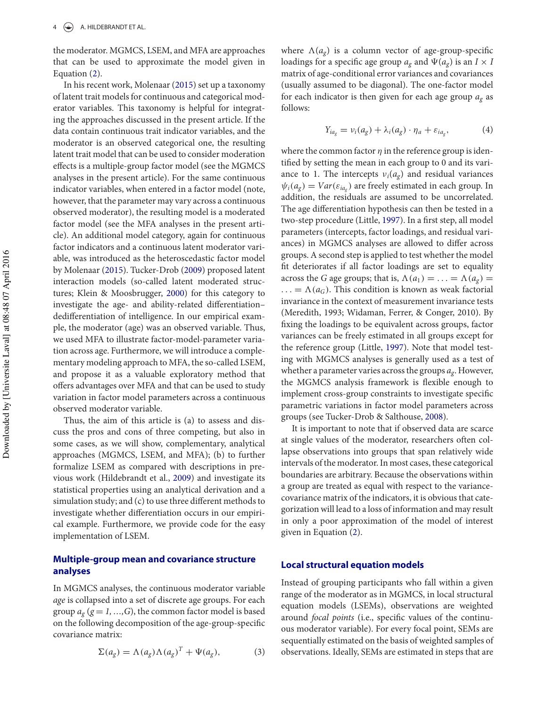the moderator. MGMCS, LSEM, and MFA are approaches that can be used to approximate the model given in Equation (2).

In his recent work, Molenaar (2015) set up a taxonomy of latent trait models for continuous and categorical moderator variables. This taxonomy is helpful for integrating the approaches discussed in the present article. If the data contain continuous trait indicator variables, and the moderator is an observed categorical one, the resulting latent trait model that can be used to consider moderation effects is a multiple-group factor model (see the MGMCS analyses in the present article). For the same continuous indicator variables, when entered in a factor model (note, however, that the parameter may vary across a continuous observed moderator), the resulting model is a moderated factor model (see the MFA analyses in the present article). An additional model category, again for continuous factor indicators and a continuous latent moderator variable, was introduced as the heteroscedastic factor model by Molenaar (2015). Tucker-Drob (2009) proposed latent interaction models (so-called latent moderated structures; Klein & Moosbrugger, 2000) for this category to investigate the age- and ability-related differentiation– dedifferentiation of intelligence. In our empirical example, the moderator (age) was an observed variable. Thus, we used MFA to illustrate factor-model-parameter variation across age. Furthermore, we will introduce a complementary modeling approach to MFA, the so-called LSEM, and propose it as a valuable exploratory method that offers advantages over MFA and that can be used to study variation in factor model parameters across a continuous observed moderator variable.

Thus, the aim of this article is (a) to assess and discuss the pros and cons of three competing, but also in some cases, as we will show, complementary, analytical approaches (MGMCS, LSEM, and MFA); (b) to further formalize LSEM as compared with descriptions in previous work (Hildebrandt et al., 2009) and investigate its statistical properties using an analytical derivation and a simulation study; and (c) to use three different methods to investigate whether differentiation occurs in our empirical example. Furthermore, we provide code for the easy implementation of LSEM.

## **Multiple-group mean and covariance structure analyses**

In MGMCS analyses, the continuous moderator variable age is collapsed into a set of discrete age groups. For each group  $a_g$  ( $g = 1, ..., G$ ), the common factor model is based on the following decomposition of the age-group-specific covariance matrix:

$$
\Sigma(a_g) = \Lambda(a_g)\Lambda(a_g)^T + \Psi(a_g), \tag{3}
$$

where  $\Lambda(a_g)$  is a column vector of age-group-specific loadings for a specific age group  $a_g$  and  $\Psi(a_g)$  is an  $I \times I$ matrix of age-conditional error variances and covariances (usually assumed to be diagonal). The one-factor model for each indicator is then given for each age group  $a_g$  as follows:

$$
Y_{ia_g} = v_i(a_g) + \lambda_i(a_g) \cdot \eta_a + \varepsilon_{ia_g},\tag{4}
$$

where the common factor  $\eta$  in the reference group is identified by setting the mean in each group to 0 and its variance to 1. The intercepts  $v_i(a_g)$  and residual variances  $\psi_i(a_g) = Var(\varepsilon_{ia_g})$  are freely estimated in each group. In addition, the residuals are assumed to be uncorrelated. The age differentiation hypothesis can then be tested in a two-step procedure (Little, 1997). In a first step, all model parameters (intercepts, factor loadings, and residual variances) in MGMCS analyses are allowed to differ across groups. A second step is applied to test whether the model fit deteriorates if all factor loadings are set to equality across the G age groups; that is,  $\Lambda(a_1) = \ldots = \Lambda(a_g) =$  $\ldots = \Lambda(a_G)$ . This condition is known as weak factorial invariance in the context of measurement invariance tests (Meredith, 1993; Widaman, Ferrer, & Conger, 2010). By fixing the loadings to be equivalent across groups, factor variances can be freely estimated in all groups except for the reference group (Little, 1997). Note that model testing with MGMCS analyses is generally used as a test of whether a parameter varies across the groups  $a_g$ . However, the MGMCS analysis framework is flexible enough to implement cross-group constraints to investigate specific parametric variations in factor model parameters across groups (see Tucker-Drob & Salthouse, 2008).

It is important to note that if observed data are scarce at single values of the moderator, researchers often collapse observations into groups that span relatively wide intervals of the moderator. In most cases, these categorical boundaries are arbitrary. Because the observations within a group are treated as equal with respect to the variancecovariance matrix of the indicators, it is obvious that categorization will lead to a loss of information and may result in only a poor approximation of the model of interest given in Equation (2).

### **Local structural equation models**

Instead of grouping participants who fall within a given range of the moderator as in MGMCS, in local structural equation models (LSEMs), observations are weighted around focal points (i.e., specific values of the continuous moderator variable). For every focal point, SEMs are sequentially estimated on the basis of weighted samples of observations. Ideally, SEMs are estimated in steps that are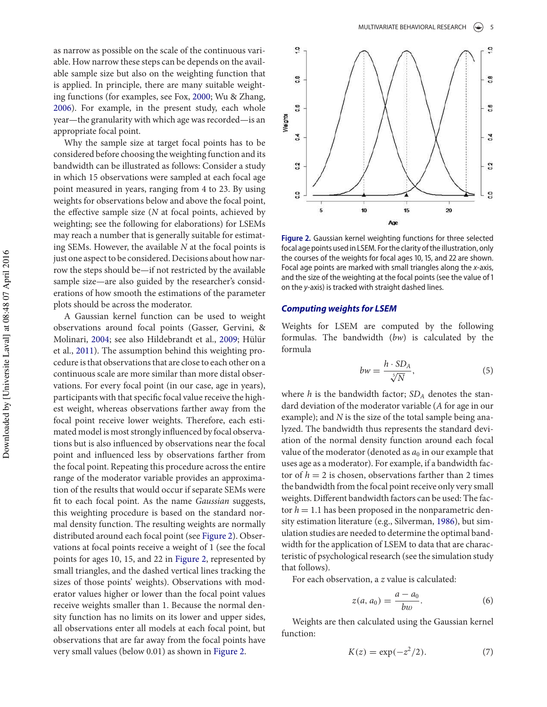as narrow as possible on the scale of the continuous variable. How narrow these steps can be depends on the available sample size but also on the weighting function that is applied. In principle, there are many suitable weighting functions (for examples, see Fox, 2000; Wu & Zhang, 2006). For example, in the present study, each whole year—the granularity with which age was recorded—is an appropriate focal point.

Why the sample size at target focal points has to be considered before choosing the weighting function and its bandwidth can be illustrated as follows: Consider a study in which 15 observations were sampled at each focal age point measured in years, ranging from 4 to 23. By using weights for observations below and above the focal point, the effective sample size  $(N$  at focal points, achieved by weighting; see the following for elaborations) for LSEMs may reach a number that is generally suitable for estimating SEMs. However, the available  $N$  at the focal points is just one aspect to be considered. Decisions about how narrow the steps should be—if not restricted by the available sample size—are also guided by the researcher's considerations of how smooth the estimations of the parameter plots should be across the moderator.

A Gaussian kernel function can be used to weight observations around focal points (Gasser, Gervini, & Molinari, 2004; see also Hildebrandt et al., 2009; Hülür et al., 2011). The assumption behind this weighting procedure is that observations that are close to each other on a continuous scale are more similar than more distal observations. For every focal point (in our case, age in years), participants with that specific focal value receive the highest weight, whereas observations farther away from the focal point receive lower weights. Therefore, each estimated model is most strongly influenced by focal observations but is also influenced by observations near the focal point and influenced less by observations farther from the focal point. Repeating this procedure across the entire range of the moderator variable provides an approximation of the results that would occur if separate SEMs were fit to each focal point. As the name Gaussian suggests, this weighting procedure is based on the standard normal density function. The resulting weights are normally distributed around each focal point (see Figure 2). Observations at focal points receive a weight of 1 (see the focal points for ages 10, 15, and 22 in Figure 2, represented by small triangles, and the dashed vertical lines tracking the sizes of those points' weights). Observations with moderator values higher or lower than the focal point values receive weights smaller than 1. Because the normal density function has no limits on its lower and upper sides, all observations enter all models at each focal point, but observations that are far away from the focal points have very small values (below 0.01) as shown in Figure 2.



Figure 2. Gaussian kernel weighting functions for three selected focal age points used in LSEM. For the clarity of the illustration, only the courses of the weights for focal ages 10, 15, and 22 are shown. Focal age points are marked with small triangles along the x-axis, and the size of the weighting at the focal points (see the value of on the y-axis) is tracked with straight dashed lines.

### **Computing weights for LSEM**

Weights for LSEM are computed by the following formulas. The bandwidth  $(bw)$  is calculated by the formula

$$
bw = \frac{h \cdot SD_A}{\sqrt[5]{N}},\tag{5}
$$

where h is the bandwidth factor;  $SD_A$  denotes the standard deviation of the moderator variable (A for age in our example); and N is the size of the total sample being analyzed. The bandwidth thus represents the standard deviation of the normal density function around each focal value of the moderator (denoted as  $a_0$  in our example that uses age as a moderator). For example, if a bandwidth factor of  $h = 2$  is chosen, observations farther than 2 times the bandwidth from the focal point receive only very small weights. Different bandwidth factors can be used: The factor  $h = 1.1$  has been proposed in the nonparametric density estimation literature (e.g., Silverman, 1986), but simulation studies are needed to determine the optimal bandwidth for the application of LSEM to data that are characteristic of psychological research (see the simulation study that follows).

For each observation, a z value is calculated:

$$
z(a, a_0) = \frac{a - a_0}{b w}.
$$
 (6)

Weights are then calculated using the Gaussian kernel function:

$$
K(z) = \exp(-z^2/2). \tag{7}
$$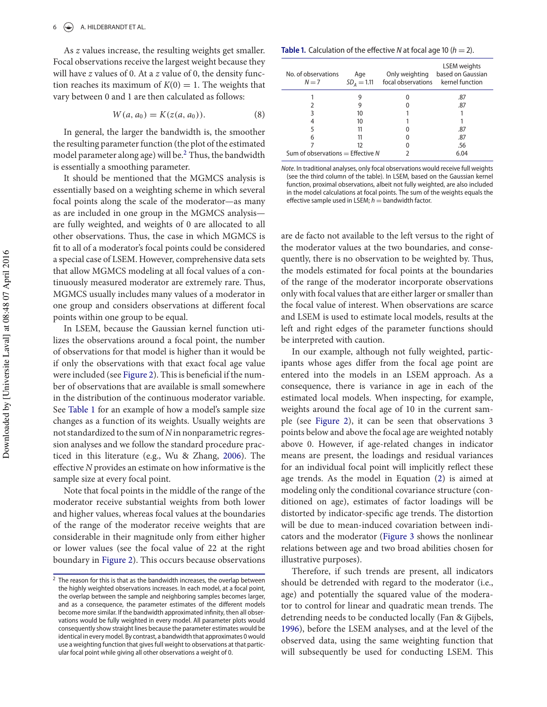As z values increase, the resulting weights get smaller. Focal observations receive the largest weight because they will have  $z$  values of 0. At a  $z$  value of 0, the density function reaches its maximum of  $K(0) = 1$ . The weights that vary between 0 and 1 are then calculated as follows:

$$
W(a, a_0) = K(z(a, a_0)).
$$
 (8)

In general, the larger the bandwidth is, the smoother the resulting parameter function (the plot of the estimated model parameter along age) will be.<sup>2</sup> Thus, the bandwidth is essentially a smoothing parameter.

It should be mentioned that the MGMCS analysis is essentially based on a weighting scheme in which several focal points along the scale of the moderator—as many as are included in one group in the MGMCS analysis are fully weighted, and weights of 0 are allocated to all other observations. Thus, the case in which MGMCS is fit to all of a moderator's focal points could be considered a special case of LSEM. However, comprehensive data sets that allow MGMCS modeling at all focal values of a continuously measured moderator are extremely rare. Thus, MGMCS usually includes many values of a moderator in one group and considers observations at different focal points within one group to be equal.

In LSEM, because the Gaussian kernel function utilizes the observations around a focal point, the number of observations for that model is higher than it would be if only the observations with that exact focal age value were included (see Figure 2). This is beneficial if the number of observations that are available is small somewhere in the distribution of the continuous moderator variable. See Table 1 for an example of how a model's sample size changes as a function of its weights. Usually weights are not standardized to the sum of  $N$  in nonparametric regression analyses and we follow the standard procedure practiced in this literature (e.g., Wu & Zhang, 2006). The effective N provides an estimate on how informative is the sample size at every focal point.

Note that focal points in the middle of the range of the moderator receive substantial weights from both lower and higher values, whereas focal values at the boundaries of the range of the moderator receive weights that are considerable in their magnitude only from either higher or lower values (see the focal value of 22 at the right boundary in Figure 2). This occurs because observations

**Table 1.** Calculation of the effective N at focal age 10 ( $h = 2$ ).

| No. of observations<br>$N=7$        | Age | Only weighting<br>$SD_A = 1.11$ focal observations kernel function | LSEM weights<br>based on Gaussian |
|-------------------------------------|-----|--------------------------------------------------------------------|-----------------------------------|
|                                     |     |                                                                    | .87                               |
|                                     |     |                                                                    | .87                               |
|                                     | 10  |                                                                    |                                   |
|                                     | 10  |                                                                    |                                   |
|                                     |     |                                                                    | .87                               |
| 6                                   |     |                                                                    | .87                               |
|                                     | 12  |                                                                    | .56                               |
| Sum of observations $=$ Effective N |     |                                                                    | 6.04                              |

Note. In traditional analyses, only focal observations would receive full weights (see the third column of the table). In LSEM, based on the Gaussian kernel function, proximal observations, albeit not fully weighted, are also included in the model calculations at focal points. The sum of the weights equals the effective sample used in LSEM;  $h =$  bandwidth factor.

are de facto not available to the left versus to the right of the moderator values at the two boundaries, and consequently, there is no observation to be weighted by. Thus, the models estimated for focal points at the boundaries of the range of the moderator incorporate observations only with focal values that are either larger or smaller than the focal value of interest. When observations are scarce and LSEM is used to estimate local models, results at the left and right edges of the parameter functions should be interpreted with caution.

In our example, although not fully weighted, participants whose ages differ from the focal age point are entered into the models in an LSEM approach. As a consequence, there is variance in age in each of the estimated local models. When inspecting, for example, weights around the focal age of 10 in the current sample (see Figure 2), it can be seen that observations 3 points below and above the focal age are weighted notably above 0. However, if age-related changes in indicator means are present, the loadings and residual variances for an individual focal point will implicitly reflect these age trends. As the model in Equation (2) is aimed at modeling only the conditional covariance structure (conditioned on age), estimates of factor loadings will be distorted by indicator-specific age trends. The distortion will be due to mean-induced covariation between indicators and the moderator (Figure 3 shows the nonlinear relations between age and two broad abilities chosen for illustrative purposes).

Therefore, if such trends are present, all indicators should be detrended with regard to the moderator (i.e., age) and potentially the squared value of the moderator to control for linear and quadratic mean trends. The detrending needs to be conducted locally (Fan & Gijbels, 1996), before the LSEM analyses, and at the level of the observed data, using the same weighting function that will subsequently be used for conducting LSEM. This

 $2$  The reason for this is that as the bandwidth increases, the overlap between the highly weighted observations increases. In each model, at a focal point, the overlap between the sample and neighboring samples becomes larger, and as a consequence, the parameter estimates of the different models become more similar. If the bandwidth approximated infinity, then all observations would be fully weighted in every model. All parameter plots would consequently show straight lines because the parameter estimates would be identical in every model. By contrast, a bandwidth that approximates 0 would use a weighting function that gives full weight to observations at that particular focal point while giving all other observations a weight of 0.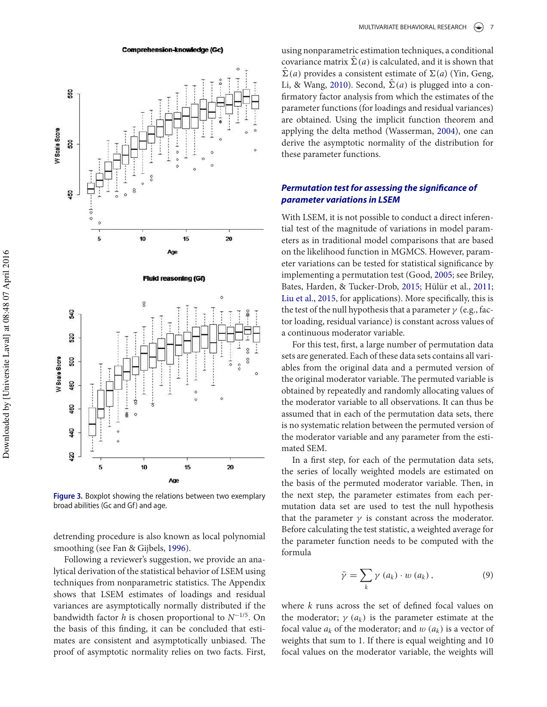

**Comprehension-knowledge (Gc)** 

Figure 3. Boxplot showing the relations between two exemplary broad abilities (Gc and Gf) and age.

detrending procedure is also known as local polynomial smoothing (see Fan & Gijbels, 1996).

Following a reviewer's suggestion, we provide an analytical derivation of the statistical behavior of LSEM using techniques from nonparametric statistics. The Appendix shows that LSEM estimates of loadings and residual variances are asymptotically normally distributed if the bandwidth factor h is chosen proportional to  $N^{-1/5}$ . On the basis of this finding, it can be concluded that estimates are consistent and asymptotically unbiased. The proof of asymptotic normality relies on two facts. First, using nonparametric estimation techniques, a conditional covariance matrix  $\hat{\Sigma}(a)$  is calculated, and it is shown that  $\hat{\Sigma}(a)$  provides a consistent estimate of  $\Sigma(a)$  (Yin, Geng, Li, & Wang, 2010). Second,  $\Sigma(a)$  is plugged into a confirmatory factor analysis from which the estimates of the parameter functions (for loadings and residual variances) are obtained. Using the implicit function theorem and applying the delta method (Wasserman, 2004), one can derive the asymptotic normality of the distribution for these parameter functions.

### **Permutation test for assessing the significance of parameter variations in LSEM**

With LSEM, it is not possible to conduct a direct inferential test of the magnitude of variations in model parameters as in traditional model comparisons that are based on the likelihood function in MGMCS. However, parameter variations can be tested for statistical significance by implementing a permutation test (Good, 2005; see Briley, Bates, Harden, & Tucker-Drob, 2015; Hülür et al., 2011; Liu et al., 2015, for applications). More specifically, this is the test of the null hypothesis that a parameter  $\gamma$  (e.g., factor loading, residual variance) is constant across values of a continuous moderator variable.

For this test, first, a large number of permutation data sets are generated. Each of these data sets contains all variables from the original data and a permuted version of the original moderator variable. The permuted variable is obtained by repeatedly and randomly allocating values of the moderator variable to all observations. It can thus be assumed that in each of the permutation data sets, there is no systematic relation between the permuted version of the moderator variable and any parameter from the estimated SEM.

In a first step, for each of the permutation data sets, the series of locally weighted models are estimated on the basis of the permuted moderator variable. Then, in the next step, the parameter estimates from each permutation data set are used to test the null hypothesis that the parameter  $\gamma$  is constant across the moderator. Before calculating the test statistic, a weighted average for the parameter function needs to be computed with the formula

$$
\bar{\gamma} = \sum_{k} \gamma (a_k) \cdot w (a_k), \qquad (9)
$$

where k runs across the set of defined focal values on the moderator;  $\gamma$  ( $a_k$ ) is the parameter estimate at the focal value  $a_k$  of the moderator; and  $w(a_k)$  is a vector of weights that sum to 1. If there is equal weighting and 10 focal values on the moderator variable, the weights will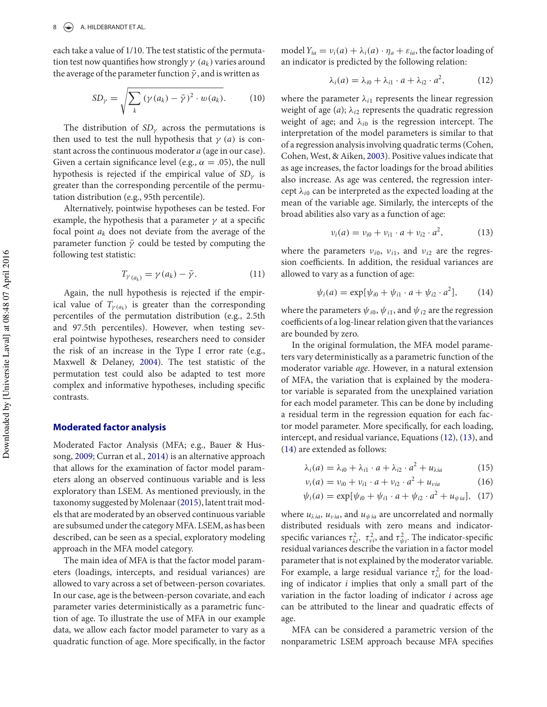each take a value of 1/10. The test statistic of the permutation test now quantifies how strongly  $\gamma$  ( $a_k$ ) varies around the average of the parameter function  $\bar{\gamma}$ , and is written as

$$
SD_{\gamma} = \sqrt{\sum_{k} (\gamma(a_k) - \bar{\gamma})^2 \cdot w(a_k)}.
$$
 (10)

The distribution of  $SD_{\gamma}$  across the permutations is then used to test the null hypothesis that  $\gamma$  (*a*) is constant across the continuous moderator a (age in our case). Given a certain significance level (e.g.,  $\alpha = .05$ ), the null hypothesis is rejected if the empirical value of  $SD_{\gamma}$  is greater than the corresponding percentile of the permutation distribution (e.g., 95th percentile).

Alternatively, pointwise hypotheses can be tested. For example, the hypothesis that a parameter  $\gamma$  at a specific focal point  $a_k$  does not deviate from the average of the parameter function  $\bar{\gamma}$  could be tested by computing the following test statistic:

$$
T_{\gamma_{(a_k)}} = \gamma(a_k) - \bar{\gamma}.
$$
 (11)

Again, the null hypothesis is rejected if the empirical value of  $T_{\gamma(a_k)}$  is greater than the corresponding percentiles of the permutation distribution (e.g., 2.5th and 97.5th percentiles). However, when testing several pointwise hypotheses, researchers need to consider the risk of an increase in the Type I error rate (e.g., Maxwell & Delaney, 2004). The test statistic of the permutation test could also be adapted to test more complex and informative hypotheses, including specific contrasts.

### **Moderated factor analysis**

Moderated Factor Analysis (MFA; e.g., Bauer & Hussong, 2009; Curran et al., 2014) is an alternative approach that allows for the examination of factor model parameters along an observed continuous variable and is less exploratory than LSEM. As mentioned previously, in the taxonomy suggested by Molenaar (2015), latent trait models that are moderated by an observed continuous variable are subsumed under the category MFA. LSEM, as has been described, can be seen as a special, exploratory modeling approach in the MFA model category.

The main idea of MFA is that the factor model parameters (loadings, intercepts, and residual variances) are allowed to vary across a set of between-person covariates. In our case, age is the between-person covariate, and each parameter varies deterministically as a parametric function of age. To illustrate the use of MFA in our example data, we allow each factor model parameter to vary as a quadratic function of age. More specifically, in the factor model  $Y_{ia} = v_i(a) + \lambda_i(a) \cdot \eta_a + \varepsilon_{ia}$ , the factor loading of an indicator is predicted by the following relation:

$$
\lambda_i(a) = \lambda_{i0} + \lambda_{i1} \cdot a + \lambda_{i2} \cdot a^2, \qquad (12)
$$

where the parameter  $\lambda_{i1}$  represents the linear regression weight of age (*a*);  $\lambda_{i2}$  represents the quadratic regression weight of age; and  $\lambda_{i0}$  is the regression intercept. The interpretation of the model parameters is similar to that of a regression analysis involving quadratic terms (Cohen, Cohen, West, & Aiken, 2003). Positive values indicate that as age increases, the factor loadings for the broad abilities also increase. As age was centered, the regression intercept  $\lambda_{i0}$  can be interpreted as the expected loading at the mean of the variable age. Similarly, the intercepts of the broad abilities also vary as a function of age:

$$
v_i(a) = v_{i0} + v_{i1} \cdot a + v_{i2} \cdot a^2, \qquad (13)
$$

where the parameters  $v_{i0}$ ,  $v_{i1}$ , and  $v_{i2}$  are the regression coefficients. In addition, the residual variances are allowed to vary as a function of age:

$$
\psi_i(a) = \exp[\psi_{i0} + \psi_{i1} \cdot a + \psi_{i2} \cdot a^2], \qquad (14)
$$

where the parameters  $\psi_{i0}$ ,  $\psi_{i1}$ , and  $\psi_{i2}$  are the regression coefficients of a log-linear relation given that the variances are bounded by zero.

In the original formulation, the MFA model parameters vary deterministically as a parametric function of the moderator variable age. However, in a natural extension of MFA, the variation that is explained by the moderator variable is separated from the unexplained variation for each model parameter. This can be done by including a residual term in the regression equation for each factor model parameter. More specifically, for each loading, intercept, and residual variance, Equations (12), (13), and (14) are extended as follows:

$$
\lambda_i(a) = \lambda_{i0} + \lambda_{i1} \cdot a + \lambda_{i2} \cdot a^2 + u_{\lambda ia} \tag{15}
$$

$$
v_i(a) = v_{i0} + v_{i1} \cdot a + v_{i2} \cdot a^2 + u_{via}
$$
 (16)

$$
\psi_i(a) = \exp[\psi_{i0} + \psi_{i1} \cdot a + \psi_{i2} \cdot a^2 + u_{\psi i a}], \tag{17}
$$

where  $u_{\lambda i a}$ ,  $u_{\nu i a}$ , and  $u_{\psi i a}$  are uncorrelated and normally distributed residuals with zero means and indicatorspecific variances  $\tau_{\lambda i}^2$ ,  $\tau_{\nu i}^2$ , and  $\tau_{\psi i}^2$ . The indicator-specific residual variances describe the variation in a factor model parameter that is not explained by the moderator variable. For example, a large residual variance  $\tau_{\lambda i}^2$  for the loading of indicator  $i$  implies that only a small part of the variation in the factor loading of indicator  $i$  across age can be attributed to the linear and quadratic effects of age.

MFA can be considered a parametric version of the nonparametric LSEM approach because MFA specifies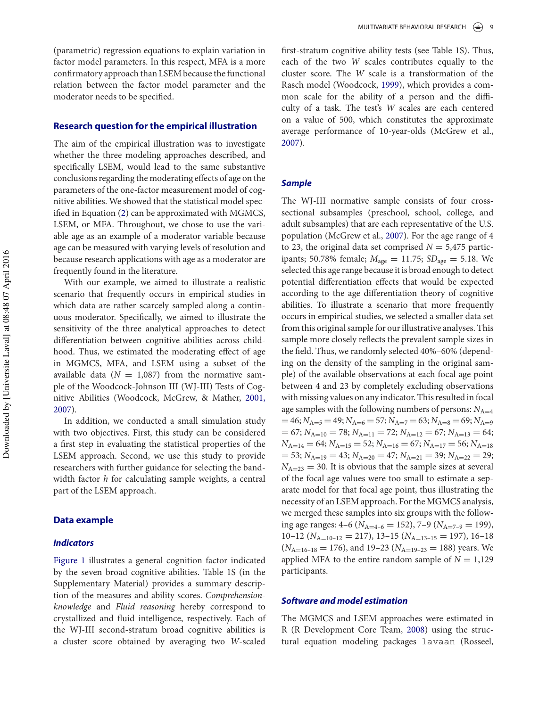(parametric) regression equations to explain variation in factor model parameters. In this respect, MFA is a more confirmatory approach than LSEM because the functional relation between the factor model parameter and the moderator needs to be specified.

#### **Research question for the empirical illustration**

The aim of the empirical illustration was to investigate whether the three modeling approaches described, and specifically LSEM, would lead to the same substantive conclusions regarding the moderating effects of age on the parameters of the one-factor measurement model of cognitive abilities. We showed that the statistical model specified in Equation (2) can be approximated with MGMCS, LSEM, or MFA. Throughout, we chose to use the variable age as an example of a moderator variable because age can be measured with varying levels of resolution and because research applications with age as a moderator are frequently found in the literature.

With our example, we aimed to illustrate a realistic scenario that frequently occurs in empirical studies in which data are rather scarcely sampled along a continuous moderator. Specifically, we aimed to illustrate the sensitivity of the three analytical approaches to detect differentiation between cognitive abilities across childhood. Thus, we estimated the moderating effect of age in MGMCS, MFA, and LSEM using a subset of the available data ( $N = 1,087$ ) from the normative sample of the Woodcock-Johnson III (WJ-III) Tests of Cognitive Abilities (Woodcock, McGrew, & Mather, 2001, 2007).

In addition, we conducted a small simulation study with two objectives. First, this study can be considered a first step in evaluating the statistical properties of the LSEM approach. Second, we use this study to provide researchers with further guidance for selecting the bandwidth factor  $h$  for calculating sample weights, a central part of the LSEM approach.

#### **Data example**

#### **Indicators**

Figure 1 illustrates a general cognition factor indicated by the seven broad cognitive abilities. Table 1S (in the Supplementary Material) provides a summary description of the measures and ability scores. Comprehensionknowledge and Fluid reasoning hereby correspond to crystallized and fluid intelligence, respectively. Each of the WJ-III second-stratum broad cognitive abilities is a cluster score obtained by averaging two W-scaled first-stratum cognitive ability tests (see Table 1S). Thus, each of the two W scales contributes equally to the cluster score. The W scale is a transformation of the Rasch model (Woodcock, 1999), which provides a common scale for the ability of a person and the difficulty of a task. The test's W scales are each centered on a value of 500, which constitutes the approximate average performance of 10-year-olds (McGrew et al., 2007).

#### **Sample**

The WJ-III normative sample consists of four crosssectional subsamples (preschool, school, college, and adult subsamples) that are each representative of the U.S. population (McGrew et al., 2007). For the age range of 4 to 23, the original data set comprised  $N = 5,475$  participants; 50.78% female;  $M_{\text{age}} = 11.75$ ;  $SD_{\text{age}} = 5.18$ . We selected this age range because it is broad enough to detect potential differentiation effects that would be expected according to the age differentiation theory of cognitive abilities. To illustrate a scenario that more frequently occurs in empirical studies, we selected a smaller data set from this original sample for our illustrative analyses. This sample more closely reflects the prevalent sample sizes in the field. Thus, we randomly selected 40%–60% (depending on the density of the sampling in the original sample) of the available observations at each focal age point between 4 and 23 by completely excluding observations with missing values on any indicator. This resulted in focal age samples with the following numbers of persons:  $N_{A=4}$  $= 46; N_{A=5} = 49; N_{A=6} = 57; N_{A=7} = 63; N_{A=8} = 69; N_{A=9}$  $= 67; N_{A=10} = 78; N_{A=11} = 72; N_{A=12} = 67; N_{A=13} = 64;$  $N_{A=14} = 64; N_{A=15} = 52; N_{A=16} = 67; N_{A=17} = 56; N_{A=18}$  $= 53; N_{A=19} = 43; N_{A=20} = 47; N_{A=21} = 39; N_{A=22} = 29;$  $N_{A=23} = 30$ . It is obvious that the sample sizes at several of the focal age values were too small to estimate a separate model for that focal age point, thus illustrating the necessity of an LSEM approach. For the MGMCS analysis, we merged these samples into six groups with the following age ranges:  $4-6$  ( $N_{A=4-6}$  = 152),  $7-9$  ( $N_{A=7-9}$  = 199),  $10-12$  ( $N_{A=10-12} = 217$ ),  $13-15$  ( $N_{A=13-15} = 197$ ),  $16-18$  $(N_{A=16-18} = 176)$ , and 19–23  $(N_{A=19-23} = 188)$  years. We applied MFA to the entire random sample of  $N = 1,129$ participants.

#### **Software and model estimation**

The MGMCS and LSEM approaches were estimated in R (R Development Core Team, 2008) using the structural equation modeling packages lavaan (Rosseel,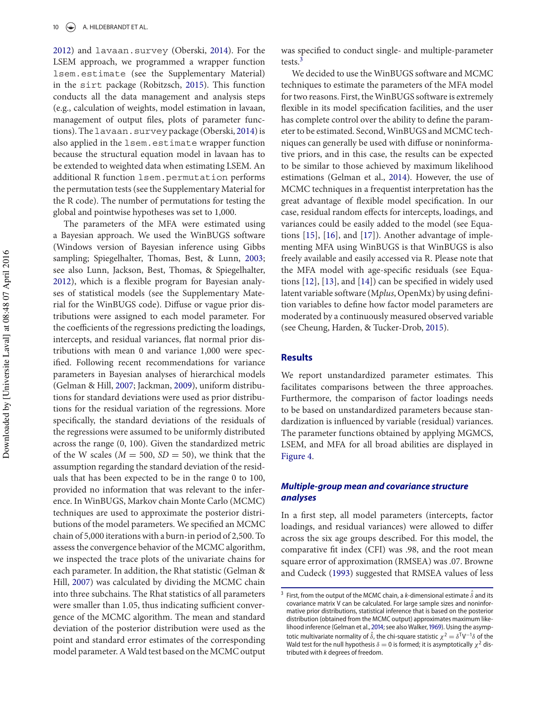2012) and lavaan.survey (Oberski, 2014). For the LSEM approach, we programmed a wrapper function lsem.estimate (see the Supplementary Material) in the sirt package (Robitzsch, 2015). This function conducts all the data management and analysis steps (e.g., calculation of weights, model estimation in lavaan, management of output files, plots of parameter functions). The lavaan. survey package (Oberski, 2014) is also applied in the lsem.estimate wrapper function because the structural equation model in lavaan has to be extended to weighted data when estimating LSEM. An additional R function lsem.permutation performs the permutation tests (see the Supplementary Material for the R code). The number of permutations for testing the global and pointwise hypotheses was set to 1,000.

The parameters of the MFA were estimated using a Bayesian approach. We used the WinBUGS software (Windows version of Bayesian inference using Gibbs sampling; Spiegelhalter, Thomas, Best, & Lunn, 2003; see also Lunn, Jackson, Best, Thomas, & Spiegelhalter, 2012), which is a flexible program for Bayesian analyses of statistical models (see the Supplementary Material for the WinBUGS code). Diffuse or vague prior distributions were assigned to each model parameter. For the coefficients of the regressions predicting the loadings, intercepts, and residual variances, flat normal prior distributions with mean 0 and variance 1,000 were specified. Following recent recommendations for variance parameters in Bayesian analyses of hierarchical models (Gelman & Hill, 2007; Jackman, 2009), uniform distributions for standard deviations were used as prior distributions for the residual variation of the regressions. More specifically, the standard deviations of the residuals of the regressions were assumed to be uniformly distributed across the range (0, 100). Given the standardized metric of the W scales ( $M = 500$ ,  $SD = 50$ ), we think that the assumption regarding the standard deviation of the residuals that has been expected to be in the range 0 to 100, provided no information that was relevant to the inference. In WinBUGS, Markov chain Monte Carlo (MCMC) techniques are used to approximate the posterior distributions of the model parameters. We specified an MCMC chain of 5,000 iterations with a burn-in period of 2,500. To assess the convergence behavior of the MCMC algorithm, we inspected the trace plots of the univariate chains for each parameter. In addition, the Rhat statistic (Gelman & Hill, 2007) was calculated by dividing the MCMC chain into three subchains. The Rhat statistics of all parameters were smaller than 1.05, thus indicating sufficient convergence of the MCMC algorithm. The mean and standard deviation of the posterior distribution were used as the point and standard error estimates of the corresponding model parameter. A Wald test based on the MCMC output was specified to conduct single- and multiple-parameter tests.<sup>3</sup>

We decided to use the WinBUGS software and MCMC techniques to estimate the parameters of the MFA model for two reasons. First, the WinBUGS software is extremely flexible in its model specification facilities, and the user has complete control over the ability to define the parameter to be estimated. Second, WinBUGS and MCMC techniques can generally be used with diffuse or noninformative priors, and in this case, the results can be expected to be similar to those achieved by maximum likelihood estimations (Gelman et al., 2014). However, the use of MCMC techniques in a frequentist interpretation has the great advantage of flexible model specification. In our case, residual random effects for intercepts, loadings, and variances could be easily added to the model (see Equations [15], [16], and [17]). Another advantage of implementing MFA using WinBUGS is that WinBUGS is also freely available and easily accessed via R. Please note that the MFA model with age-specific residuals (see Equations [12], [13], and [14]) can be specified in widely used latent variable software (Mplus, OpenMx) by using definition variables to define how factor model parameters are moderated by a continuously measured observed variable (see Cheung, Harden, & Tucker-Drob, 2015).

### **Results**

We report unstandardized parameter estimates. This facilitates comparisons between the three approaches. Furthermore, the comparison of factor loadings needs to be based on unstandardized parameters because standardization is influenced by variable (residual) variances. The parameter functions obtained by applying MGMCS, LSEM, and MFA for all broad abilities are displayed in Figure 4.

## **Multiple-group mean and covariance structure analyses**

In a first step, all model parameters (intercepts, factor loadings, and residual variances) were allowed to differ across the six age groups described. For this model, the comparative fit index (CFI) was .98, and the root mean square error of approximation (RMSEA) was .07. Browne and Cudeck (1993) suggested that RMSEA values of less

 $^3$  First, from the output of the MCMC chain, a  $k$ -dimensional estimate  $\hat{\delta}$  and its covariance matrix V can be calculated. For large sample sizes and noninformative prior distributions, statistical inference that is based on the posterior distribution (obtained from the MCMC output) approximates maximum likelihood inference (Gelman et al., 2014; see also Walker, 1969). Using the asymptotic multivariate normality of  $\hat{\delta}$ , the chi-square statistic  $\chi^2 = \delta^T V^{-1} \delta$  of the Wald test for the null hypothesis  $\delta = 0$  is formed; it is asymptotically  $\chi^2$  distributed with  $k$  degrees of freedom.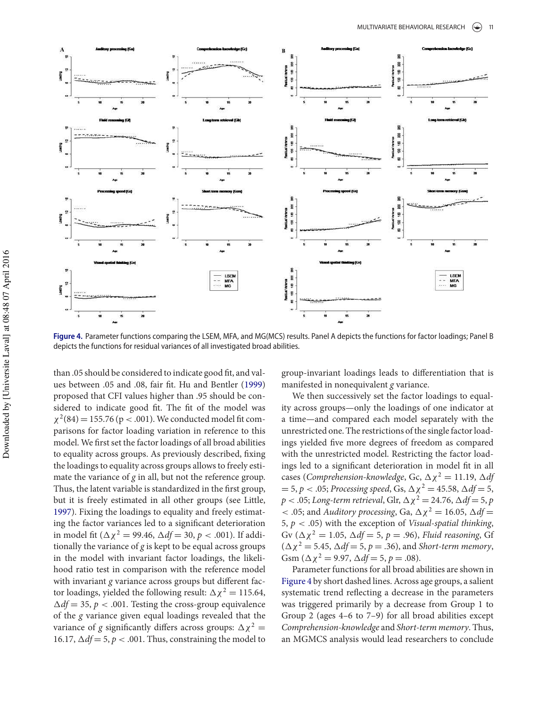

**Figure 4.** Parameter functions comparing the LSEM, MFA, and MG(MCS) results. Panel A depicts the functions for factor loadings; Panel B depicts the functions for residual variances of all investigated broad abilities.

than .05 should be considered to indicate good fit, and values between .05 and .08, fair fit. Hu and Bentler (1999) proposed that CFI values higher than .95 should be considered to indicate good fit. The fit of the model was  $\chi^2(84) = 155.76$  (p < .001). We conducted model fit comparisons for factor loading variation in reference to this model. We first set the factor loadings of all broad abilities to equality across groups. As previously described, fixing the loadings to equality across groups allows to freely estimate the variance of  $g$  in all, but not the reference group. Thus, the latent variable is standardized in the first group, but it is freely estimated in all other groups (see Little, 1997). Fixing the loadings to equality and freely estimating the factor variances led to a significant deterioration in model fit ( $\Delta \chi^2$  = 99.46,  $\Delta df$  = 30,  $p$  < .001). If additionally the variance of  $g$  is kept to be equal across groups in the model with invariant factor loadings, the likelihood ratio test in comparison with the reference model with invariant g variance across groups but different factor loadings, yielded the following result:  $\Delta \chi^2 = 115.64$ ,  $\Delta df = 35$ ,  $p < .001$ . Testing the cross-group equivalence of the g variance given equal loadings revealed that the variance of g significantly differs across groups:  $\Delta \chi^2$  = 16.17,  $\Delta df = 5$ ,  $p < .001$ . Thus, constraining the model to group-invariant loadings leads to differentiation that is manifested in nonequivalent g variance.

We then successively set the factor loadings to equality across groups—only the loadings of one indicator at a time—and compared each model separately with the unrestricted one. The restrictions of the single factor loadings yielded five more degrees of freedom as compared with the unrestricted model. Restricting the factor loadings led to a significant deterioration in model fit in all cases (Comprehension-knowledge, Gc,  $\Delta \chi^2 = 11.19$ ,  $\Delta df$  $= 5, p < .05;$  Processing speed, Gs,  $\Delta \chi^2 = 45.58$ ,  $\Delta df = 5$ ,  $p < .05$ ; Long-term retrieval, Glr,  $\Delta \chi^2 = 24.76$ ,  $\Delta df = 5$ , p  $<$  .05; and Auditory processing, Ga,  $\Delta \chi^2 = 16.05$ ,  $\Delta df =$ 5,  $p < .05$ ) with the exception of *Visual-spatial thinking*, Gv ( $\Delta \chi^2 = 1.05$ ,  $\Delta df = 5$ ,  $p = .96$ ), Fluid reasoning, Gf  $(\Delta \chi^2 = 5.45, \Delta df = 5, p = .36)$ , and Short-term memory, Gsm ( $\Delta \chi^2 = 9.97$ ,  $\Delta df = 5$ ,  $p = .08$ ).

Parameter functions for all broad abilities are shown in Figure 4 by short dashed lines. Across age groups, a salient systematic trend reflecting a decrease in the parameters was triggered primarily by a decrease from Group 1 to Group 2 (ages 4–6 to 7–9) for all broad abilities except Comprehension-knowledge and Short-term memory. Thus, an MGMCS analysis would lead researchers to conclude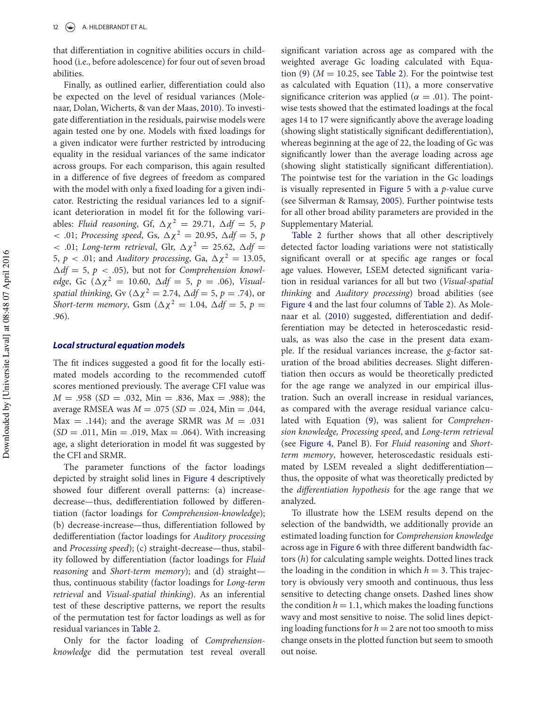that differentiation in cognitive abilities occurs in childhood (i.e., before adolescence) for four out of seven broad abilities.

Finally, as outlined earlier, differentiation could also be expected on the level of residual variances (Molenaar, Dolan, Wicherts, & van der Maas, 2010). To investigate differentiation in the residuals, pairwise models were again tested one by one. Models with fixed loadings for a given indicator were further restricted by introducing equality in the residual variances of the same indicator across groups. For each comparison, this again resulted in a difference of five degrees of freedom as compared with the model with only a fixed loading for a given indicator. Restricting the residual variances led to a significant deterioration in model fit for the following variables: Fluid reasoning, Gf,  $\Delta \chi^2 = 29.71$ ,  $\Delta df = 5$ , p  $<$  .01; Processing speed, Gs,  $\Delta \chi^2 = 20.95$ ,  $\Delta df = 5$ , p  $\langle 0.01;$  Long-term retrieval, Glr,  $\Delta \chi^2 = 25.62$ ,  $\Delta df =$ 5,  $p < .01$ ; and Auditory processing, Ga,  $\Delta \chi^2 = 13.05$ ,  $\Delta df = 5$ ,  $p < .05$ ), but not for Comprehension knowledge, Gc  $(\Delta \chi^2 = 10.60, \Delta df = 5, p = .06)$ , Visualspatial thinking, Gv ( $\Delta \chi^2 = 2.74$ ,  $\Delta df = 5$ , p = .74), or Short-term memory, Gsm ( $\Delta \chi^2 = 1.04$ ,  $\Delta df = 5$ ,  $p =$ .96).

#### **Local structural equation models**

The fit indices suggested a good fit for the locally estimated models according to the recommended cutoff scores mentioned previously. The average CFI value was  $M = .958$  (SD = .032, Min = .836, Max = .988); the average RMSEA was  $M = .075$  (SD = .024, Min = .044, Max = .144); and the average SRMR was  $M = .031$  $(SD = .011, \text{ Min} = .019, \text{Max} = .064)$ . With increasing age, a slight deterioration in model fit was suggested by the CFI and SRMR.

The parameter functions of the factor loadings depicted by straight solid lines in Figure 4 descriptively showed four different overall patterns: (a) increasedecrease—thus, dedifferentiation followed by differentiation (factor loadings for Comprehension-knowledge); (b) decrease-increase—thus, differentiation followed by dedifferentiation (factor loadings for Auditory processing and Processing speed); (c) straight-decrease—thus, stability followed by differentiation (factor loadings for Fluid reasoning and Short-term memory); and (d) straight thus, continuous stability (factor loadings for Long-term retrieval and Visual-spatial thinking). As an inferential test of these descriptive patterns, we report the results of the permutation test for factor loadings as well as for residual variances in Table 2.

Only for the factor loading of Comprehensionknowledge did the permutation test reveal overall significant variation across age as compared with the weighted average Gc loading calculated with Equation (9) ( $M = 10.25$ , see Table 2). For the pointwise test as calculated with Equation (11), a more conservative significance criterion was applied ( $\alpha = .01$ ). The pointwise tests showed that the estimated loadings at the focal ages 14 to 17 were significantly above the average loading (showing slight statistically significant dedifferentiation), whereas beginning at the age of 22, the loading of Gc was significantly lower than the average loading across age (showing slight statistically significant differentiation). The pointwise test for the variation in the Gc loadings is visually represented in Figure 5 with a  $p$ -value curve (see Silverman & Ramsay, 2005). Further pointwise tests for all other broad ability parameters are provided in the Supplementary Material.

Table 2 further shows that all other descriptively detected factor loading variations were not statistically significant overall or at specific age ranges or focal age values. However, LSEM detected significant variation in residual variances for all but two (Visual-spatial thinking and Auditory processing) broad abilities (see Figure 4 and the last four columns of Table 2). As Molenaar et al. (2010) suggested, differentiation and dedifferentiation may be detected in heteroscedastic residuals, as was also the case in the present data example. If the residual variances increase, the g-factor saturation of the broad abilities decreases. Slight differentiation then occurs as would be theoretically predicted for the age range we analyzed in our empirical illustration. Such an overall increase in residual variances, as compared with the average residual variance calculated with Equation (9), was salient for Comprehension knowledge, Processing speed, and Long-term retrieval (see Figure 4, Panel B). For Fluid reasoning and Shortterm memory, however, heteroscedastic residuals estimated by LSEM revealed a slight dedifferentiation thus, the opposite of what was theoretically predicted by the differentiation hypothesis for the age range that we analyzed.

To illustrate how the LSEM results depend on the selection of the bandwidth, we additionally provide an estimated loading function for Comprehension knowledge across age in Figure 6 with three different bandwidth factors (h) for calculating sample weights. Dotted lines track the loading in the condition in which  $h = 3$ . This trajectory is obviously very smooth and continuous, thus less sensitive to detecting change onsets. Dashed lines show the condition  $h = 1.1$ , which makes the loading functions wavy and most sensitive to noise. The solid lines depicting loading functions for  $h = 2$  are not too smooth to miss change onsets in the plotted function but seem to smooth out noise.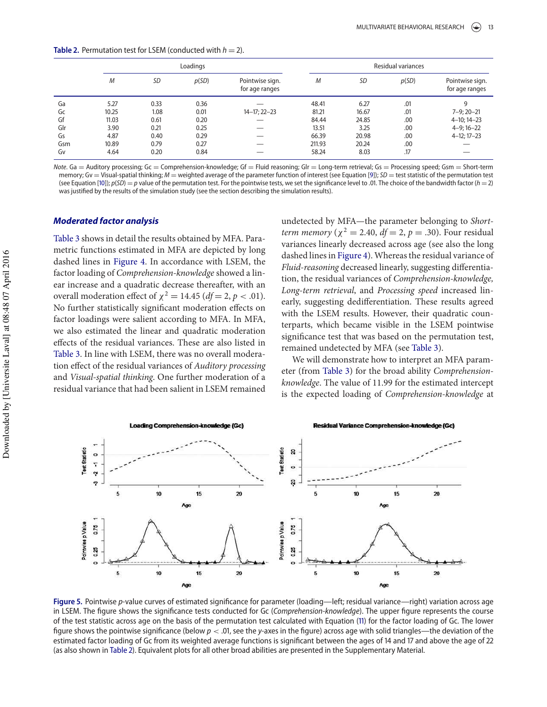**Table 2.** Permutation test for LSEM (conducted with  $h = 2$ ).

|     |       |           | Loadings |                                   | Residual variances |           |       |                                   |  |  |  |
|-----|-------|-----------|----------|-----------------------------------|--------------------|-----------|-------|-----------------------------------|--|--|--|
|     | M     | <b>SD</b> | p(SD)    | Pointwise sign.<br>for age ranges | M                  | <b>SD</b> | p(SD) | Pointwise sign.<br>for age ranges |  |  |  |
| Ga  | 5.27  | 0.33      | 0.36     |                                   | 48.41              | 6.27      | .01   | 9                                 |  |  |  |
| Gc  | 10.25 | 1.08      | 0.01     | $14 - 17:22 - 23$                 | 81.21              | 16.67     | .01   | $7-9; 20-21$                      |  |  |  |
| Gf  | 11.03 | 0.61      | 0.20     |                                   | 84.44              | 24.85     | .00   | $4 - 10$ ; $14 - 23$              |  |  |  |
| Glr | 3.90  | 0.21      | 0.25     |                                   | 13.51              | 3.25      | .00   | $4-9;16-22$                       |  |  |  |
| Gs  | 4.87  | 0.40      | 0.29     |                                   | 66.39              | 20.98     | .00   | $4-12; 17-23$                     |  |  |  |
| Gsm | 10.89 | 0.79      | 0.27     |                                   | 211.93             | 20.24     | .00   |                                   |  |  |  |
| Gv  | 4.64  | 0.20      | 0.84     |                                   | 58.24              | 8.03      | .17   |                                   |  |  |  |

Note. Ga = Auditory processing; Gc = Comprehension-knowledge; Gf = Fluid reasoning; Glr = Long-term retrieval; Gs = Processing speed; Gsm = Short-term memory; Gv = Visual-spatial thinking;  $M$  = weighted average of the parameter function of interest (see Equation [9]); SD = test statistic of the permutation test (see Equation [10]);  $p(SD) = p$  value of the permutation test. For the pointwise tests, we set the significance level to .01. The choice of the bandwidth factor ( $h = 2$ ) was justified by the results of the simulation study (see the section describing the simulation results).

### **Moderated factor analysis**

Table 3 shows in detail the results obtained by MFA. Parametric functions estimated in MFA are depicted by long dashed lines in Figure 4. In accordance with LSEM, the factor loading of Comprehension-knowledge showed a linear increase and a quadratic decrease thereafter, with an overall moderation effect of  $\chi^2 = 14.45$  ( $df = 2, p < .01$ ). No further statistically significant moderation effects on factor loadings were salient according to MFA. In MFA, we also estimated the linear and quadratic moderation effects of the residual variances. These are also listed in Table 3. In line with LSEM, there was no overall moderation effect of the residual variances of Auditory processing and Visual-spatial thinking. One further moderation of a residual variance that had been salient in LSEM remained undetected by MFA—the parameter belonging to Shortterm memory ( $\chi^2 = 2.40$ ,  $df = 2$ ,  $p = .30$ ). Four residual variances linearly decreased across age (see also the long dashed lines in Figure 4). Whereas the residual variance of Fluid-reasoning decreased linearly, suggesting differentiation, the residual variances of Comprehension-knowledge, Long-term retrieval, and Processing speed increased linearly, suggesting dedifferentiation. These results agreed with the LSEM results. However, their quadratic counterparts, which became visible in the LSEM pointwise significance test that was based on the permutation test, remained undetected by MFA (see Table 3).

We will demonstrate how to interpret an MFA parameter (from Table 3) for the broad ability Comprehensionknowledge. The value of 11.99 for the estimated intercept is the expected loading of Comprehension-knowledge at



**Figure 5.** Pointwise p-value curves of estimated significance for parameter (loading—left; residual variance—right) variation across age in LSEM. The figure shows the significance tests conducted for Gc (Comprehension-knowledge). The upper figure represents the course of the test statistic across age on the basis of the permutation test calculated with Equation (11) for the factor loading of Gc. The lower figure shows the pointwise significance (below  $p < 0.01$ , see the y-axes in the figure) across age with solid triangles—the deviation of the estimated factor loading of Gc from its weighted average functions is significant between the ages of 14 and 17 and above the age of 22 (as also shown in Table ). Equivalent plots for all other broad abilities are presented in the Supplementary Material.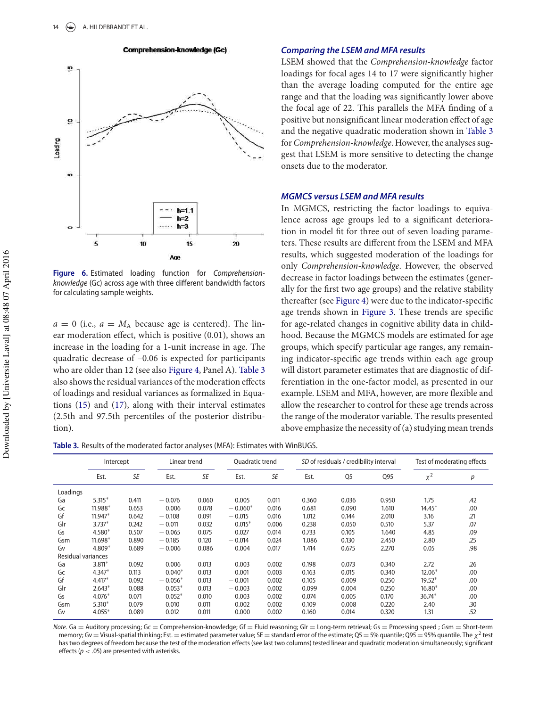

**Figure 6.** Estimated loading function for Comprehensionknowledge (Gc) across age with three different bandwidth factors for calculating sample weights.

 $a = 0$  (i.e.,  $a = M_A$  because age is centered). The linear moderation effect, which is positive (0.01), shows an increase in the loading for a 1-unit increase in age. The quadratic decrease of –0.06 is expected for participants who are older than 12 (see also Figure 4, Panel A). Table 3 also shows the residual variances of the moderation effects of loadings and residual variances as formalized in Equations (15) and (17), along with their interval estimates (2.5th and 97.5th percentiles of the posterior distribution).

### **Comparing the LSEM and MFA results**

LSEM showed that the Comprehension-knowledge factor loadings for focal ages 14 to 17 were significantly higher than the average loading computed for the entire age range and that the loading was significantly lower above the focal age of 22. This parallels the MFA finding of a positive but nonsignificant linear moderation effect of age and the negative quadratic moderation shown in Table 3 for Comprehension-knowledge. However, the analyses suggest that LSEM is more sensitive to detecting the change onsets due to the moderator.

### **MGMCS versus LSEM and MFA results**

In MGMCS, restricting the factor loadings to equivalence across age groups led to a significant deterioration in model fit for three out of seven loading parameters. These results are different from the LSEM and MFA results, which suggested moderation of the loadings for only Comprehension-knowledge. However, the observed decrease in factor loadings between the estimates (generally for the first two age groups) and the relative stability thereafter (see Figure 4) were due to the indicator-specific age trends shown in Figure 3. These trends are specific for age-related changes in cognitive ability data in childhood. Because the MGMCS models are estimated for age groups, which specify particular age ranges, any remaining indicator-specific age trends within each age group will distort parameter estimates that are diagnostic of differentiation in the one-factor model, as presented in our example. LSEM and MFA, however, are more flexible and allow the researcher to control for these age trends across the range of the moderator variable. The results presented above emphasize the necessity of (a) studying mean trends

Table 3. Results of the moderated factor analyses (MFA): Estimates with WinBUGS.

|                    | Intercept |           | Linear trend |           |           | <b>Ouadratic trend</b> |       | SD of residuals / credibility interval | Test of moderating effects |          |     |
|--------------------|-----------|-----------|--------------|-----------|-----------|------------------------|-------|----------------------------------------|----------------------------|----------|-----|
|                    | Est.      | <b>SE</b> | Est.         | <b>SE</b> | Est.      | <b>SE</b>              | Est.  | Q <sub>5</sub>                         | Q95                        | $\chi^2$ | р   |
| Loadings           |           |           |              |           |           |                        |       |                                        |                            |          |     |
| Ga                 | $5.315*$  | 0.411     | $-0.076$     | 0.060     | 0.005     | 0.011                  | 0.360 | 0.036                                  | 0.950                      | 1.75     | .42 |
| Gc                 | 11.988*   | 0.653     | 0.006        | 0.078     | $-0.060*$ | 0.016                  | 0.681 | 0.090                                  | 1.610                      | $14.45*$ | .00 |
| Gf                 | $11.947*$ | 0.642     | $-0.108$     | 0.091     | $-0.015$  | 0.016                  | 1.012 | 0.144                                  | 2.010                      | 3.16     | .21 |
| Glr                | $3.737*$  | 0.242     | $-0.011$     | 0.032     | $0.015*$  | 0.006                  | 0.238 | 0.050                                  | 0.510                      | 5.37     | .07 |
| Gs                 | 4.580*    | 0.507     | $-0.065$     | 0.075     | 0.027     | 0.014                  | 0.733 | 0.105                                  | 1.640                      | 4.85     | .09 |
| Gsm                | 11.698*   | 0.890     | $-0.185$     | 0.120     | $-0.014$  | 0.024                  | 1.086 | 0.130                                  | 2.450                      | 2.80     | .25 |
| Gv                 | 4.809*    | 0.689     | $-0.006$     | 0.086     | 0.004     | 0.017                  | 1.414 | 0.675                                  | 2.270                      | 0.05     | .98 |
| Residual variances |           |           |              |           |           |                        |       |                                        |                            |          |     |
| Ga                 | $3.811*$  | 0.092     | 0.006        | 0.013     | 0.003     | 0.002                  | 0.198 | 0.073                                  | 0.340                      | 2.72     | .26 |
| Gc                 | $4.347*$  | 0.113     | $0.040*$     | 0.013     | 0.001     | 0.003                  | 0.163 | 0.015                                  | 0.340                      | $12.06*$ | .00 |
| Gf                 | $4.417*$  | 0.092     | $-0.056*$    | 0.013     | $-0.001$  | 0.002                  | 0.105 | 0.009                                  | 0.250                      | $19.52*$ | .00 |
| Glr                | $2.643*$  | 0.088     | $0.053*$     | 0.013     | $-0.003$  | 0.002                  | 0.099 | 0.004                                  | 0.250                      | 16.80*   | .00 |
| Gs                 | $4.076*$  | 0.071     | $0.052*$     | 0.010     | 0.003     | 0.002                  | 0.074 | 0.005                                  | 0.170                      | 36.74*   | .00 |
| Gsm                | 5.310*    | 0.079     | 0.010        | 0.011     | 0.002     | 0.002                  | 0.109 | 0.008                                  | 0.220                      | 2.40     | .30 |
| Gv                 | $4.055*$  | 0.089     | 0.012        | 0.011     | 0.000     | 0.002                  | 0.160 | 0.014                                  | 0.320                      | 1.31     | .52 |

Note. Ga = Auditory processing; Gc = Comprehension-knowledge; Gf = Fluid reasoning; Glr = Long-term retrieval; Gs = Processing speed ; Gsm = Short-term memory; Gv = Visual-spatial thinking; Est. = estimated parameter value; SE = standard error of the estimate; Q5 = 5% quantile; Q95 = 95% quantile. The  $\chi^2$  test has two degrees of freedom because the test of the moderation effects (see last two columns) tested linear and quadratic moderation simultaneously; significant effects ( $p < .05$ ) are presented with asterisks.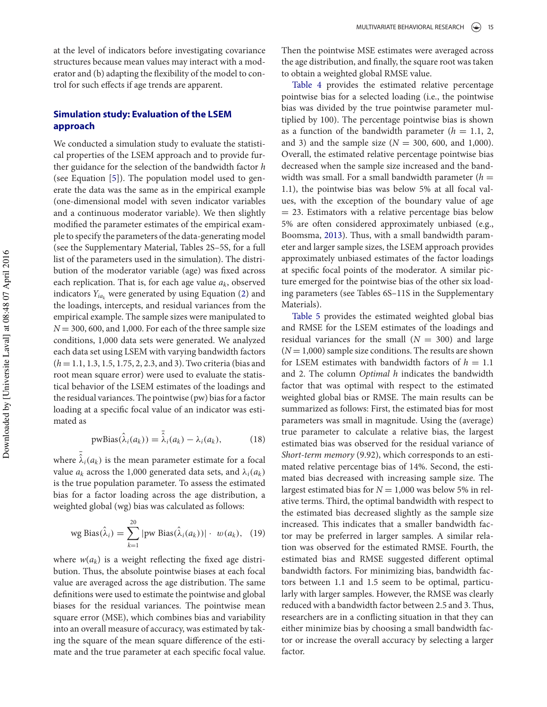at the level of indicators before investigating covariance structures because mean values may interact with a moderator and (b) adapting the flexibility of the model to control for such effects if age trends are apparent.

## **Simulation study: Evaluation of the LSEM approach**

We conducted a simulation study to evaluate the statistical properties of the LSEM approach and to provide further guidance for the selection of the bandwidth factor h (see Equation [5]). The population model used to generate the data was the same as in the empirical example (one-dimensional model with seven indicator variables and a continuous moderator variable). We then slightly modified the parameter estimates of the empirical example to specify the parameters of the data-generating model (see the Supplementary Material, Tables 2S–5S, for a full list of the parameters used in the simulation). The distribution of the moderator variable (age) was fixed across each replication. That is, for each age value  $a_k$ , observed indicators  $Y_{ia_k}$  were generated by using Equation (2) and the loadings, intercepts, and residual variances from the empirical example. The sample sizes were manipulated to  $N = 300, 600,$  and 1,000. For each of the three sample size conditions, 1,000 data sets were generated. We analyzed each data set using LSEM with varying bandwidth factors  $(h = 1.1, 1.3, 1.5, 1.75, 2, 2.3,$  and 3). Two criteria (bias and root mean square error) were used to evaluate the statistical behavior of the LSEM estimates of the loadings and the residual variances. The pointwise (pw) bias for a factor loading at a specific focal value of an indicator was estimated as

$$
pwBias(\hat{\lambda}_i(a_k)) = \overline{\hat{\lambda}}_i(a_k) - \lambda_i(a_k), \qquad (18)
$$

where  $\hat{\lambda}_i(a_k)$  is the mean parameter estimate for a focal value  $a_k$  across the 1,000 generated data sets, and  $\lambda_i(a_k)$ is the true population parameter. To assess the estimated bias for a factor loading across the age distribution, a weighted global (wg) bias was calculated as follows:

$$
\text{wg Bias}(\hat{\lambda}_i) = \sum_{k=1}^{20} |\text{pw Bias}(\hat{\lambda}_i(a_k))| \cdot w(a_k), \tag{19}
$$

where  $w(a_k)$  is a weight reflecting the fixed age distribution. Thus, the absolute pointwise biases at each focal value are averaged across the age distribution. The same definitions were used to estimate the pointwise and global biases for the residual variances. The pointwise mean square error (MSE), which combines bias and variability into an overall measure of accuracy, was estimated by taking the square of the mean square difference of the estimate and the true parameter at each specific focal value. Then the pointwise MSE estimates were averaged across the age distribution, and finally, the square root was taken to obtain a weighted global RMSE value.

Table 4 provides the estimated relative percentage pointwise bias for a selected loading (i.e., the pointwise bias was divided by the true pointwise parameter multiplied by 100). The percentage pointwise bias is shown as a function of the bandwidth parameter ( $h = 1.1, 2$ , and 3) and the sample size ( $N = 300, 600,$  and 1,000). Overall, the estimated relative percentage pointwise bias decreased when the sample size increased and the bandwidth was small. For a small bandwidth parameter  $(h =$ 1.1), the pointwise bias was below 5% at all focal values, with the exception of the boundary value of age  $= 23$ . Estimators with a relative percentage bias below 5% are often considered approximately unbiased (e.g., Boomsma, 2013). Thus, with a small bandwidth parameter and larger sample sizes, the LSEM approach provides approximately unbiased estimates of the factor loadings at specific focal points of the moderator. A similar picture emerged for the pointwise bias of the other six loading parameters (see Tables 6S–11S in the Supplementary Materials).

Table 5 provides the estimated weighted global bias and RMSE for the LSEM estimates of the loadings and residual variances for the small  $(N = 300)$  and large  $(N = 1,000)$  sample size conditions. The results are shown for LSEM estimates with bandwidth factors of  $h = 1.1$ and 2. The column *Optimal h* indicates the bandwidth factor that was optimal with respect to the estimated weighted global bias or RMSE. The main results can be summarized as follows: First, the estimated bias for most parameters was small in magnitude. Using the (average) true parameter to calculate a relative bias, the largest estimated bias was observed for the residual variance of Short-term memory (9.92), which corresponds to an estimated relative percentage bias of 14%. Second, the estimated bias decreased with increasing sample size. The largest estimated bias for  $N = 1,000$  was below 5% in relative terms. Third, the optimal bandwidth with respect to the estimated bias decreased slightly as the sample size increased. This indicates that a smaller bandwidth factor may be preferred in larger samples. A similar relation was observed for the estimated RMSE. Fourth, the estimated bias and RMSE suggested different optimal bandwidth factors. For minimizing bias, bandwidth factors between 1.1 and 1.5 seem to be optimal, particularly with larger samples. However, the RMSE was clearly reduced with a bandwidth factor between 2.5 and 3. Thus, researchers are in a conflicting situation in that they can either minimize bias by choosing a small bandwidth factor or increase the overall accuracy by selecting a larger factor.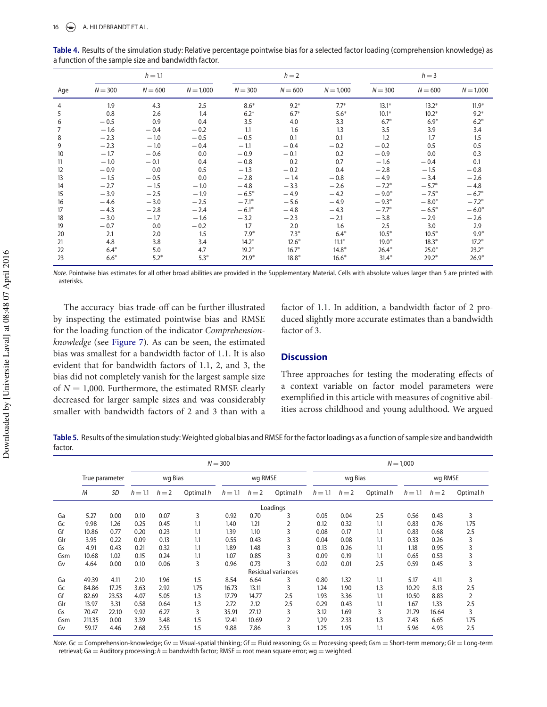|     |           | $h = 1.1$ |             |           | $h = 2$   |             |           | $h = 3$   |             |  |  |
|-----|-----------|-----------|-------------|-----------|-----------|-------------|-----------|-----------|-------------|--|--|
| Age | $N = 300$ | $N = 600$ | $N = 1,000$ | $N = 300$ | $N = 600$ | $N = 1,000$ | $N = 300$ | $N = 600$ | $N = 1,000$ |  |  |
| 4   | 1.9       | 4.3       | 2.5         | $8.6*$    | $9.2*$    | $7.7*$      | $13.1*$   | $13.2*$   | $11.9*$     |  |  |
| 5   | 0.8       | 2.6       | 1.4         | $6.2*$    | $6.7*$    | $5.6*$      | $10.1*$   | $10.2*$   | $9.2*$      |  |  |
| 6   | $-0.5$    | 0.9       | 0.4         | 3.5       | 4.0       | 3.3         | $6.7*$    | $6.9*$    | $6.2*$      |  |  |
|     | $-1.6$    | $-0.4$    | $-0.2$      | 1.1       | 1.6       | 1.3         | 3.5       | 3.9       | 3.4         |  |  |
| 8   | $-2.3$    | $-1.0$    | $-0.5$      | $-0.5$    | 0.1       | 0.1         | 1.2       | 1.7       | 1.5         |  |  |
| 9   | $-2.3$    | $-1.0$    | $-0.4$      | $-1.1$    | $-0.4$    | $-0.2$      | $-0.2$    | 0.5       | 0.5         |  |  |
| 10  | $-1.7$    | $-0.6$    | 0.0         | $-0.9$    | $-0.1$    | 0.2         | $-0.9$    | 0.0       | 0.3         |  |  |
| 11  | $-1.0$    | $-0.1$    | 0.4         | $-0.8$    | 0.2       | 0.7         | $-1.6$    | $-0.4$    | 0.1         |  |  |
| 12  | $-0.9$    | 0.0       | 0.5         | $-1.3$    | $-0.2$    | 0.4         | $-2.8$    | $-1.5$    | $-0.8$      |  |  |
| 13  | $-1.5$    | $-0.5$    | 0.0         | $-2.8$    | $-1.4$    | $-0.8$      | $-4.9$    | $-3.4$    | $-2.6$      |  |  |
| 14  | $-2.7$    | $-1.5$    | $-1.0$      | $-4.8$    | $-3.3$    | $-2.6$      | $-7.2*$   | $-5.7*$   | $-4.8$      |  |  |
| 15  | $-3.9$    | $-2.5$    | $-1.9$      | $-6.5*$   | $-4.9$    | $-4.2$      | $-9.0*$   | $-7.5*$   | $-6.7*$     |  |  |
| 16  | $-4.6$    | $-3.0$    | $-2.5$      | $-7.1*$   | $-5.6$    | $-4.9$      | $-9.3*$   | $-8.0*$   | $-7.2*$     |  |  |
| 17  | $-4.3$    | $-2.8$    | $-2.4$      | $-6.1*$   | $-4.8$    | $-4.3$      | $-7.7*$   | $-6.5*$   | $-6.0*$     |  |  |
| 18  | $-3.0$    | $-1.7$    | $-1.6$      | $-3.2$    | $-2.3$    | $-2.1$      | $-3.8$    | $-2.9$    | $-2.6$      |  |  |
| 19  | $-0.7$    | 0.0       | $-0.2$      | 1.7       | 2.0       | 1.6         | 2.5       | 3.0       | 2.9         |  |  |
| 20  | 2.1       | 2.0       | 1.5         | $7.9*$    | $7.3*$    | $6.4*$      | $10.5*$   | $10.5*$   | $9.9*$      |  |  |
| 21  | 4.8       | 3.8       | 3.4         | $14.2*$   | $12.6*$   | $11.1*$     | $19.0*$   | $18.3*$   | $17.2*$     |  |  |
| 22  | $6.4*$    | 5.0       | 4.7         | $19.2*$   | $16.7*$   | $14.8*$     | $26.4*$   | $25.0*$   | $23.2*$     |  |  |
| 23  | $6.6*$    | $5.2*$    | $5.3*$      | $21.9*$   | $18.8*$   | $16.6*$     | $31.4*$   | $29.2*$   | $26.9*$     |  |  |

Table 4. Results of the simulation study: Relative percentage pointwise bias for a selected factor loading (comprehension knowledge) as a function of the sample size and bandwidth factor.

Note. Pointwise bias estimates for all other broad abilities are provided in the Supplementary Material. Cells with absolute values larger than 5 are printed with asterisks.

The accuracy–bias trade-off can be further illustrated by inspecting the estimated pointwise bias and RMSE for the loading function of the indicator Comprehensionknowledge (see Figure 7). As can be seen, the estimated bias was smallest for a bandwidth factor of 1.1. It is also evident that for bandwidth factors of 1.1, 2, and 3, the bias did not completely vanish for the largest sample size of  $N = 1,000$ . Furthermore, the estimated RMSE clearly decreased for larger sample sizes and was considerably smaller with bandwidth factors of 2 and 3 than with a factor of 1.1. In addition, a bandwidth factor of 2 produced slightly more accurate estimates than a bandwidth factor of 3.

## **Discussion**

Three approaches for testing the moderating effects of a context variable on factor model parameters were exemplified in this article with measures of cognitive abilities across childhood and young adulthood. We argued

Table 5. Results of the simulation study: Weighted global bias and RMSE for the factor loadings as a function of sample size and bandwidth factor.

|     |                |           |           |         |           | $N = 300$ |         |                    | $N = 1,000$ |         |           |           |         |           |
|-----|----------------|-----------|-----------|---------|-----------|-----------|---------|--------------------|-------------|---------|-----------|-----------|---------|-----------|
|     | True parameter |           | wg Bias   |         |           | wg RMSE   |         |                    | wg Bias     |         |           | wg RMSE   |         |           |
|     | M              | <b>SD</b> | $h = 1.1$ | $h = 2$ | Optimal h | $h = 1.1$ | $h = 2$ | Optimal h          | $h = 1.1$   | $h = 2$ | Optimal h | $h = 1.1$ | $h = 2$ | Optimal h |
|     |                |           |           |         |           |           |         | Loadings           |             |         |           |           |         |           |
| Ga  | 5.27           | 0.00      | 0.10      | 0.07    | 3         | 0.92      | 0.70    | 3                  | 0.05        | 0.04    | 2.5       | 0.56      | 0.43    | 3         |
| Gc  | 9.98           | 1.26      | 0.25      | 0.45    | 1.1       | 1.40      | 1.21    |                    | 0.12        | 0.32    | 1.1       | 0.83      | 0.76    | 1.75      |
| Gf  | 10.86          | 0.77      | 0.20      | 0.23    | 1.1       | 1.39      | 1.10    |                    | 0.08        | 0.17    | 1.1       | 0.83      | 0.68    | 2.5       |
| Glr | 3.95           | 0.22      | 0.09      | 0.13    | 1.1       | 0.55      | 0.43    |                    | 0.04        | 0.08    | 1.1       | 0.33      | 0.26    | 3         |
| Gs  | 4.91           | 0.43      | 0.21      | 0.32    | 1.1       | 1.89      | 1.48    | 3                  | 0.13        | 0.26    | 1.1       | 1.18      | 0.95    | 3         |
| Gsm | 10.68          | 1.02      | 0.15      | 0.24    | 1.1       | 1.07      | 0.85    | 3                  | 0.09        | 0.19    | 1.1       | 0.65      | 0.53    | 3         |
| Gv  | 4.64           | 0.00      | 0.10      | 0.06    | 3         | 0.96      | 0.73    | 3                  | 0.02        | 0.01    | 2.5       | 0.59      | 0.45    | 3         |
|     |                |           |           |         |           |           |         | Residual variances |             |         |           |           |         |           |
| Ga  | 49.39          | 4.11      | 2.10      | 1.96    | 1.5       | 8.54      | 6.64    | 3                  | 0.80        | 1.32    | 1.1       | 5.17      | 4.11    | 3         |
| Gc  | 84.86          | 17.25     | 3.63      | 2.92    | 1.75      | 16.73     | 13.11   |                    | 1.24        | 1.90    | 1.3       | 10.29     | 8.13    | 2.5       |
| Gf  | 82.69          | 23.53     | 4.07      | 5.05    | 1.3       | 17.79     | 14.77   | 2.5                | 1.93        | 3.36    | 1.1       | 10.50     | 8.83    | 2         |
| Glr | 13.97          | 3.31      | 0.58      | 0.64    | 1.3       | 2.72      | 2.12    | 2.5                | 0.29        | 0.43    | 1.1       | 1.67      | 1.33    | 2.5       |
| Gs  | 70.47          | 22.10     | 9.92      | 6.27    | 3         | 35.91     | 27.12   |                    | 3.12        | 1.69    | 3         | 21.79     | 16.64   | 3         |
| Gsm | 211.35         | 0.00      | 3.39      | 3.48    | 1.5       | 12.41     | 10.69   | 2                  | 1,29        | 2.33    | 1.3       | 7.43      | 6.65    | 1.75      |
| Gv  | 59.17          | 4.46      | 2.68      | 2.55    | 1.5       | 9.88      | 7.86    | 3                  | 1.25        | 1.95    | 1.1       | 5.96      | 4.93    | 2.5       |

Note. Gc = Comprehension-knowledge; Gv = Visual-spatial thinking; Gf = Fluid reasoning; Gs = Processing speed; Gsm = Short-term memory; Glr = Long-term retrieval; Ga = Auditory processing; h = bandwidth factor; RMSE = root mean square error; wq = weighted.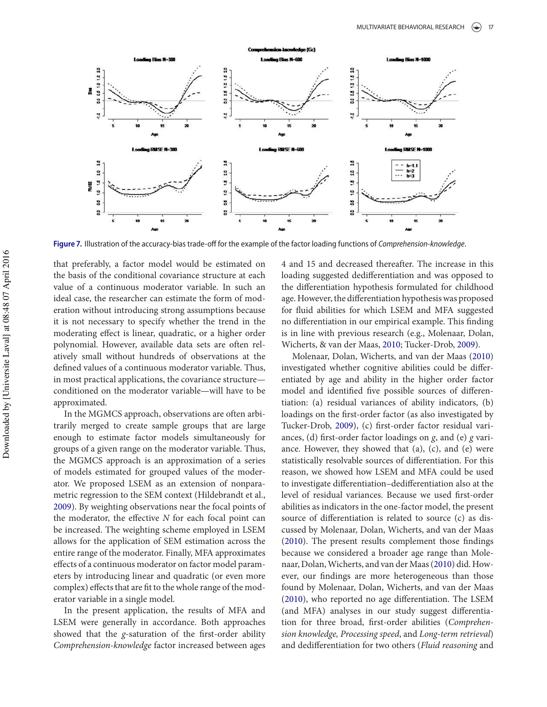

Figure 7. Illustration of the accuracy-bias trade-off for the example of the factor loading functions of Comprehension-knowledge.

that preferably, a factor model would be estimated on the basis of the conditional covariance structure at each value of a continuous moderator variable. In such an ideal case, the researcher can estimate the form of moderation without introducing strong assumptions because it is not necessary to specify whether the trend in the moderating effect is linear, quadratic, or a higher order polynomial. However, available data sets are often relatively small without hundreds of observations at the defined values of a continuous moderator variable. Thus, in most practical applications, the covariance structure conditioned on the moderator variable—will have to be approximated.

In the MGMCS approach, observations are often arbitrarily merged to create sample groups that are large enough to estimate factor models simultaneously for groups of a given range on the moderator variable. Thus, the MGMCS approach is an approximation of a series of models estimated for grouped values of the moderator. We proposed LSEM as an extension of nonparametric regression to the SEM context (Hildebrandt et al., 2009). By weighting observations near the focal points of the moderator, the effective N for each focal point can be increased. The weighting scheme employed in LSEM allows for the application of SEM estimation across the entire range of the moderator. Finally, MFA approximates effects of a continuous moderator on factor model parameters by introducing linear and quadratic (or even more complex) effects that are fit to the whole range of the moderator variable in a single model.

In the present application, the results of MFA and LSEM were generally in accordance. Both approaches showed that the g-saturation of the first-order ability Comprehension-knowledge factor increased between ages 4 and 15 and decreased thereafter. The increase in this loading suggested dedifferentiation and was opposed to the differentiation hypothesis formulated for childhood age. However, the differentiation hypothesis was proposed for fluid abilities for which LSEM and MFA suggested no differentiation in our empirical example. This finding is in line with previous research (e.g., Molenaar, Dolan, Wicherts, & van der Maas, 2010; Tucker-Drob, 2009).

Molenaar, Dolan, Wicherts, and van der Maas (2010) investigated whether cognitive abilities could be differentiated by age and ability in the higher order factor model and identified five possible sources of differentiation: (a) residual variances of ability indicators, (b) loadings on the first-order factor (as also investigated by Tucker-Drob, 2009), (c) first-order factor residual variances, (d) first-order factor loadings on g, and (e) g variance. However, they showed that (a), (c), and (e) were statistically resolvable sources of differentiation. For this reason, we showed how LSEM and MFA could be used to investigate differentiation–dedifferentiation also at the level of residual variances. Because we used first-order abilities as indicators in the one-factor model, the present source of differentiation is related to source (c) as discussed by Molenaar, Dolan, Wicherts, and van der Maas (2010). The present results complement those findings because we considered a broader age range than Molenaar, Dolan, Wicherts, and van der Maas (2010) did. However, our findings are more heterogeneous than those found by Molenaar, Dolan, Wicherts, and van der Maas (2010), who reported no age differentiation. The LSEM (and MFA) analyses in our study suggest differentiation for three broad, first-order abilities (Comprehension knowledge, Processing speed, and Long-term retrieval) and dedifferentiation for two others (Fluid reasoning and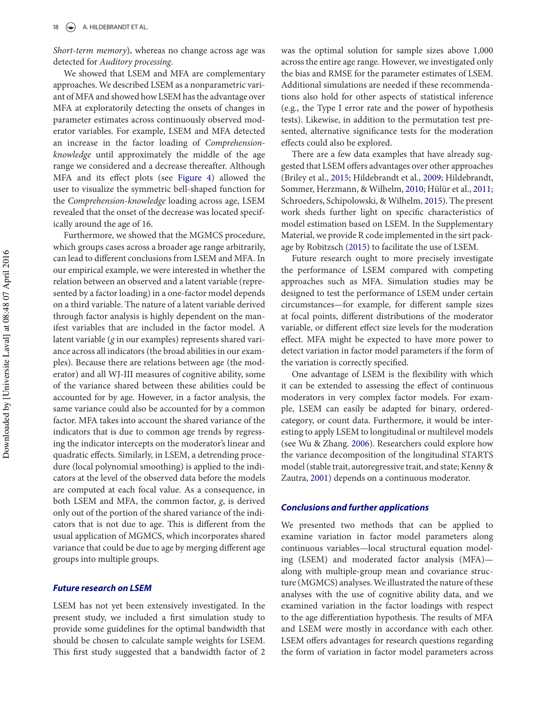Short-term memory), whereas no change across age was detected for Auditory processing.

We showed that LSEM and MFA are complementary approaches. We described LSEM as a nonparametric variant of MFA and showed how LSEM has the advantage over MFA at exploratorily detecting the onsets of changes in parameter estimates across continuously observed moderator variables. For example, LSEM and MFA detected an increase in the factor loading of Comprehensionknowledge until approximately the middle of the age range we considered and a decrease thereafter. Although MFA and its effect plots (see Figure 4) allowed the user to visualize the symmetric bell-shaped function for the Comprehension-knowledge loading across age, LSEM revealed that the onset of the decrease was located specifically around the age of 16.

Furthermore, we showed that the MGMCS procedure, which groups cases across a broader age range arbitrarily, can lead to different conclusions from LSEM and MFA. In our empirical example, we were interested in whether the relation between an observed and a latent variable (represented by a factor loading) in a one-factor model depends on a third variable. The nature of a latent variable derived through factor analysis is highly dependent on the manifest variables that are included in the factor model. A latent variable (g in our examples) represents shared variance across all indicators (the broad abilities in our examples). Because there are relations between age (the moderator) and all WJ-III measures of cognitive ability, some of the variance shared between these abilities could be accounted for by age. However, in a factor analysis, the same variance could also be accounted for by a common factor. MFA takes into account the shared variance of the indicators that is due to common age trends by regressing the indicator intercepts on the moderator's linear and quadratic effects. Similarly, in LSEM, a detrending procedure (local polynomial smoothing) is applied to the indicators at the level of the observed data before the models are computed at each focal value. As a consequence, in both LSEM and MFA, the common factor, g, is derived only out of the portion of the shared variance of the indicators that is not due to age. This is different from the usual application of MGMCS, which incorporates shared variance that could be due to age by merging different age groups into multiple groups.

### **Future research on LSEM**

LSEM has not yet been extensively investigated. In the present study, we included a first simulation study to provide some guidelines for the optimal bandwidth that should be chosen to calculate sample weights for LSEM. This first study suggested that a bandwidth factor of 2 was the optimal solution for sample sizes above 1,000 across the entire age range. However, we investigated only the bias and RMSE for the parameter estimates of LSEM. Additional simulations are needed if these recommendations also hold for other aspects of statistical inference (e.g., the Type I error rate and the power of hypothesis tests). Likewise, in addition to the permutation test presented, alternative significance tests for the moderation effects could also be explored.

There are a few data examples that have already suggested that LSEM offers advantages over other approaches (Briley et al., 2015; Hildebrandt et al., 2009; Hildebrandt, Sommer, Herzmann, & Wilhelm, 2010; Hülür et al., 2011; Schroeders, Schipolowski, & Wilhelm, 2015). The present work sheds further light on specific characteristics of model estimation based on LSEM. In the Supplementary Material, we provide R code implemented in the sirt package by Robitzsch (2015) to facilitate the use of LSEM.

Future research ought to more precisely investigate the performance of LSEM compared with competing approaches such as MFA. Simulation studies may be designed to test the performance of LSEM under certain circumstances—for example, for different sample sizes at focal points, different distributions of the moderator variable, or different effect size levels for the moderation effect. MFA might be expected to have more power to detect variation in factor model parameters if the form of the variation is correctly specified.

One advantage of LSEM is the flexibility with which it can be extended to assessing the effect of continuous moderators in very complex factor models. For example, LSEM can easily be adapted for binary, orderedcategory, or count data. Furthermore, it would be interesting to apply LSEM to longitudinal or multilevel models (see Wu & Zhang. 2006). Researchers could explore how the variance decomposition of the longitudinal STARTS model (stable trait, autoregressive trait, and state; Kenny & Zautra, 2001) depends on a continuous moderator.

#### **Conclusions and further applications**

We presented two methods that can be applied to examine variation in factor model parameters along continuous variables—local structural equation modeling (LSEM) and moderated factor analysis (MFA) along with multiple-group mean and covariance structure (MGMCS) analyses.We illustrated the nature of these analyses with the use of cognitive ability data, and we examined variation in the factor loadings with respect to the age differentiation hypothesis. The results of MFA and LSEM were mostly in accordance with each other. LSEM offers advantages for research questions regarding the form of variation in factor model parameters across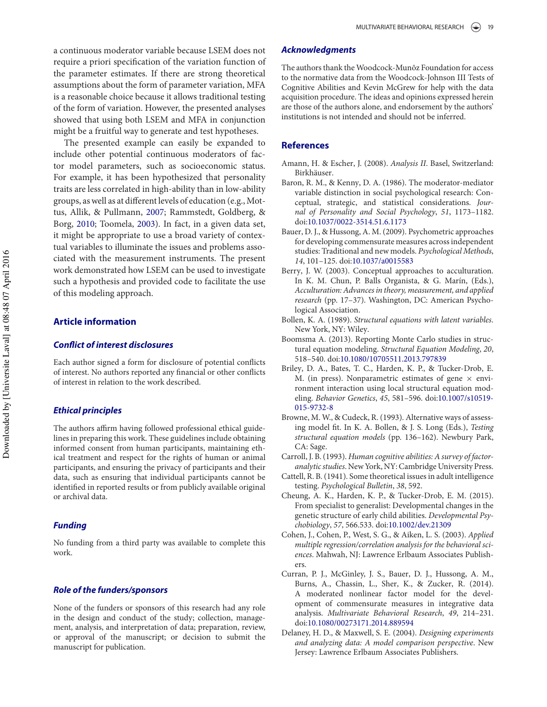a continuous moderator variable because LSEM does not require a priori specification of the variation function of the parameter estimates. If there are strong theoretical assumptions about the form of parameter variation, MFA is a reasonable choice because it allows traditional testing of the form of variation. However, the presented analyses showed that using both LSEM and MFA in conjunction might be a fruitful way to generate and test hypotheses.

The presented example can easily be expanded to include other potential continuous moderators of factor model parameters, such as socioeconomic status. For example, it has been hypothesized that personality traits are less correlated in high-ability than in low-ability groups, as well as at different levels of education (e.g., Mottus, Allik, & Pullmann, 2007; Rammstedt, Goldberg, & Borg, 2010; Toomela, 2003). In fact, in a given data set, it might be appropriate to use a broad variety of contextual variables to illuminate the issues and problems associated with the measurement instruments. The present work demonstrated how LSEM can be used to investigate such a hypothesis and provided code to facilitate the use of this modeling approach.

## **Article information**

### **Conflict of interest disclosures**

Each author signed a form for disclosure of potential conflicts of interest. No authors reported any financial or other conflicts of interest in relation to the work described.

#### **Ethical principles**

The authors affirm having followed professional ethical guidelines in preparing this work. These guidelines include obtaining informed consent from human participants, maintaining ethical treatment and respect for the rights of human or animal participants, and ensuring the privacy of participants and their data, such as ensuring that individual participants cannot be identified in reported results or from publicly available original or archival data.

### **Funding**

No funding from a third party was available to complete this work.

### **Role of the funders/sponsors**

None of the funders or sponsors of this research had any role in the design and conduct of the study; collection, management, analysis, and interpretation of data; preparation, review, or approval of the manuscript; or decision to submit the manuscript for publication.

### **Acknowledgments**

The authors thank the Woodcock-Munõz Foundation for access to the normative data from the Woodcock-Johnson III Tests of Cognitive Abilities and Kevin McGrew for help with the data acquisition procedure. The ideas and opinions expressed herein are those of the authors alone, and endorsement by the authors' institutions is not intended and should not be inferred.

#### **References**

- Amann, H. & Escher, J. (2008). Analysis II. Basel, Switzerland: Birkhäuser.
- Baron, R. M., & Kenny, D. A. (1986). The moderator-mediator variable distinction in social psychological research: Conceptual, strategic, and statistical considerations. Journal of Personality and Social Psychology, 51, 1173–1182. doi:10.1037/0022-3514.51.6.1173
- Bauer, D. J., & Hussong, A. M. (2009). Psychometric approaches for developing commensurate measures across independent studies: Traditional and new models. Psychological Methods, 14, 101–125. doi:10.1037/a0015583
- Berry, J. W. (2003). Conceptual approaches to acculturation. In K. M. Chun, P. Balls Organista, & G. Marín, (Eds.), Acculturation: Advances in theory, measurement, and applied research (pp. 17–37). Washington, DC: American Psychological Association.
- Bollen, K. A. (1989). Structural equations with latent variables. New York, NY: Wiley.
- Boomsma A. (2013). Reporting Monte Carlo studies in structural equation modeling. Structural Equation Modeling, 20, 518–540. doi:10.1080/10705511.2013.797839
- Briley, D. A., Bates, T. C., Harden, K. P., & Tucker-Drob, E. M. (in press). Nonparametric estimates of gene  $\times$  environment interaction using local structural equation modeling. Behavior Genetics, 45, 581–596. doi:10.1007/s10519- 015-9732-8
- Browne, M. W., & Cudeck, R. (1993). Alternative ways of assessing model fit. In K. A. Bollen, & J. S. Long (Eds.), Testing structural equation models (pp. 136–162). Newbury Park, CA: Sage.
- Carroll, J. B. (1993). Human cognitive abilities: A survey of factoranalytic studies. New York, NY: Cambridge University Press.
- Cattell, R. B. (1941). Some theoretical issues in adult intelligence testing. Psychological Bulletin, 38, 592.
- Cheung, A. K., Harden, K. P., & Tucker-Drob, E. M. (2015). From specialist to generalist: Developmental changes in the genetic structure of early child abilities. Developmental Psychobiology, 57, 566.533. doi:10.1002/dev.21309
- Cohen, J., Cohen, P., West, S. G., & Aiken, L. S. (2003). Applied multiple regression/correlation analysis for the behavioral sciences. Mahwah, NJ: Lawrence Erlbaum Associates Publishers.
- Curran, P. J., McGinley, J. S., Bauer, D. J., Hussong, A. M., Burns, A., Chassin, L., Sher, K., & Zucker, R. (2014). A moderated nonlinear factor model for the development of commensurate measures in integrative data analysis. Multivariate Behavioral Research, 49, 214–231. doi:10.1080/00273171.2014.889594
- Delaney, H. D., & Maxwell, S. E. (2004). Designing experiments and analyzing data: A model comparison perspective. New Jersey: Lawrence Erlbaum Associates Publishers.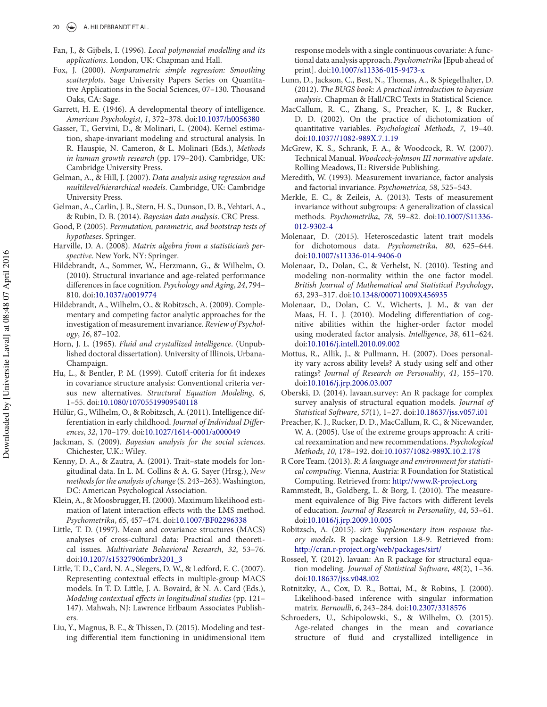- Fan, J., & Gijbels, I. (1996). Local polynomial modelling and its applications. London, UK: Chapman and Hall.
- Fox, J. (2000). Nonparametric simple regression: Smoothing scatterplots. Sage University Papers Series on Quantitative Applications in the Social Sciences, 07–130. Thousand Oaks, CA: Sage.
- Garrett, H. E. (1946). A developmental theory of intelligence. American Psychologist, 1, 372–378. doi:10.1037/h0056380
- Gasser, T., Gervini, D., & Molinari, L. (2004). Kernel estimation, shape-invariant modeling and structural analysis. In R. Hauspie, N. Cameron, & L. Molinari (Eds.), Methods in human growth research (pp. 179–204). Cambridge, UK: Cambridge University Press.
- Gelman, A., & Hill, J. (2007). Data analysis using regression and multilevel/hierarchical models. Cambridge, UK: Cambridge University Press.
- Gelman, A., Carlin, J. B., Stern, H. S., Dunson, D. B., Vehtari, A., & Rubin, D. B. (2014). Bayesian data analysis. CRC Press.
- Good, P. (2005). Permutation, parametric, and bootstrap tests of hypotheses. Springer.
- Harville, D. A. (2008). Matrix algebra from a statistician's perspective. New York, NY: Springer.
- Hildebrandt, A., Sommer, W., Herzmann, G., & Wilhelm, O. (2010). Structural invariance and age-related performance differences in face cognition. Psychology and Aging, 24, 794– 810. doi:10.1037/a0019774
- Hildebrandt, A., Wilhelm, O., & Robitzsch, A. (2009). Complementary and competing factor analytic approaches for the investigation of measurement invariance. Review of Psychology, 16, 87–102.
- Horn, J. L. (1965). Fluid and crystallized intelligence. (Unpublished doctoral dissertation). University of Illinois, Urbana-Champaign.
- Hu, L., & Bentler, P. M. (1999). Cutoff criteria for fit indexes in covariance structure analysis: Conventional criteria versus new alternatives. Structural Equation Modeling, 6, 1–55. doi:10.1080/10705519909540118
- Hülür, G., Wilhelm, O., & Robitzsch, A. (2011). Intelligence differentiation in early childhood. Journal of Individual Differences, 32, 170–179. doi:10.1027/1614-0001/a000049
- Jackman, S. (2009). Bayesian analysis for the social sciences. Chichester, U.K.: Wiley.
- Kenny, D. A., & Zautra, A. (2001). Trait–state models for longitudinal data. In L. M. Collins & A. G. Sayer (Hrsg.), New methods for the analysis of change (S. 243–263). Washington, DC: American Psychological Association.
- Klein, A., & Moosbrugger, H. (2000). Maximum likelihood estimation of latent interaction effects with the LMS method. Psychometrika, 65, 457–474. doi:10.1007/BF02296338
- Little, T. D. (1997). Mean and covariance structures (MACS) analyses of cross-cultural data: Practical and theoretical issues. Multivariate Behavioral Research, 32, 53–76. doi:10.1207/s15327906mbr3201\_3
- Little, T. D., Card, N. A., Slegers, D. W., & Ledford, E. C. (2007). Representing contextual effects in multiple-group MACS models. In T. D. Little, J. A. Bovaird, & N. A. Card (Eds.), Modeling contextual effects in longitudinal studies (pp. 121– 147). Mahwah, NJ: Lawrence Erlbaum Associates Publishers.
- Liu, Y., Magnus, B. E., & Thissen, D. (2015). Modeling and testing differential item functioning in unidimensional item

response models with a single continuous covariate: A functional data analysis approach. Psychometrika [Epub ahead of print]. doi:10.1007/s11336-015-9473-x

- Lunn, D., Jackson, C., Best, N., Thomas, A., & Spiegelhalter, D. (2012). The BUGS book: A practical introduction to bayesian analysis. Chapman & Hall/CRC Texts in Statistical Science.
- MacCallum, R. C., Zhang, S., Preacher, K. J., & Rucker, D. D. (2002). On the practice of dichotomization of quantitative variables. Psychological Methods, 7, 19–40. doi:10.1037//1082-989X.7.1.19
- McGrew, K. S., Schrank, F. A., & Woodcock, R. W. (2007). Technical Manual. Woodcock-johnson III normative update. Rolling Meadows, IL: Riverside Publishing.
- Meredith, W. (1993). Measurement invariance, factor analysis and factorial invariance. Psychometrica, 58, 525–543.
- Merkle, E. C., & Zeileis, A. (2013). Tests of measurement invariance without subgroups: A generalization of classical methods. Psychometrika, 78, 59–82. doi:10.1007/S11336- 012-9302-4
- Molenaar, D. (2015). Heteroscedastic latent trait models for dichotomous data. Psychometrika, 80, 625–644. doi:10.1007/s11336-014-9406-0
- Molenaar, D., Dolan, C., & Verhelst, N. (2010). Testing and modeling non-normality within the one factor model. British Journal of Mathematical and Statistical Psychology, 63, 293–317. doi:10.1348/000711009X456935
- Molenaar, D., Dolan, C. V., Wicherts, J. M., & van der Maas, H. L. J. (2010). Modeling differentiation of cognitive abilities within the higher-order factor model using moderated factor analysis. Intelligence, 38, 611–624. doi:10.1016/j.intell.2010.09.002
- Mottus, R., Allik, J., & Pullmann, H. (2007). Does personality vary across ability levels? A study using self and other ratings? Journal of Research on Personality, 41, 155–170. doi:10.1016/j.jrp.2006.03.007
- Oberski, D. (2014). lavaan.survey: An R package for complex survey analysis of structural equation models. Journal of Statistical Software, 57(1), 1–27. doi:10.18637/jss.v057.i01
- Preacher, K. J., Rucker, D. D., MacCallum, R. C., & Nicewander, W. A. (2005). Use of the extreme groups approach: A critical reexamination and new recommendations. Psychological Methods, 10, 178–192. doi:10.1037/1082-989X.10.2.178
- R Core Team. (2013). R: A language and environment for statistical computing. Vienna, Austria: R Foundation for Statistical Computing. Retrieved from: http://www.R-project.org
- Rammstedt, B., Goldberg, L. & Borg, I. (2010). The measurement equivalence of Big Five factors with different levels of education. Journal of Research in Personality, 44, 53–61. doi:10.1016/j.jrp.2009.10.005
- Robitzsch, A. (2015). sirt: Supplementary item response theory models. R package version 1.8-9. Retrieved from: http://cran.r-project.org/web/packages/sirt/
- Rosseel, Y. (2012). lavaan: An R package for structural equation modeling. Journal of Statistical Software, 48(2), 1-36. doi:10.18637/jss.v048.i02
- Rotnitzky, A., Cox, D. R., Bottai, M., & Robins, J. (2000). Likelihood-based inference with singular information matrix. Bernoulli, 6, 243–284. doi:10.2307/3318576
- Schroeders, U., Schipolowski, S., & Wilhelm, O. (2015). Age-related changes in the mean and covariance structure of fluid and crystallized intelligence in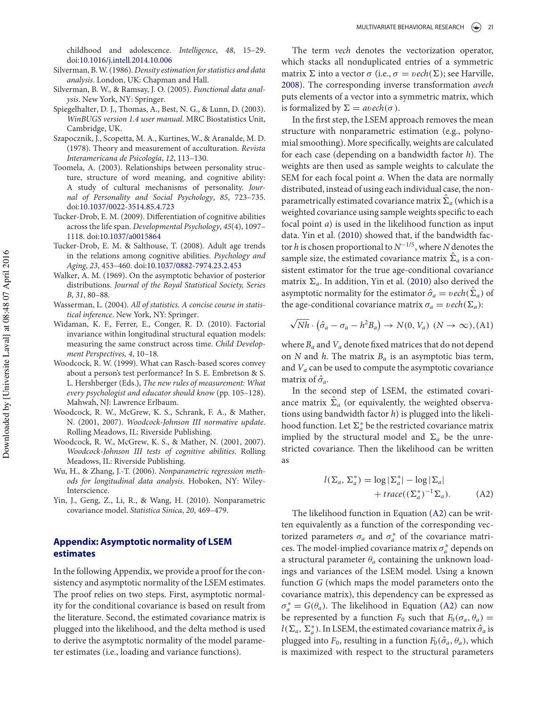childhood and adolescence. Intelligence, 48, 15–29. doi:10.1016/j.intell.2014.10.006

- Silverman, B.W. (1986). Density estimation for statistics and data analysis. London, UK: Chapman and Hall.
- Silverman, B. W., & Ramsay, J. O. (2005). Functional data analysis. New York, NY: Springer.
- Spiegelhalter, D. J., Thomas, A., Best, N. G., & Lunn, D. (2003). WinBUGS version 1.4 user manual. MRC Biostatistics Unit, Cambridge, UK.
- Szapocznik, J., Scopetta, M. A., Kurtines, W., & Aranalde, M. D. (1978). Theory and measurement of acculturation. Revista Interamericana de Psicología, 12, 113–130.
- Toomela, A. (2003). Relationships between personality structure, structure of word meaning, and cognitive ability: A study of cultural mechanisms of personality. Journal of Personality and Social Psychology, 85, 723–735. doi:10.1037/0022-3514.85.4.723
- Tucker-Drob, E. M. (2009). Differentiation of cognitive abilities across the life span. Developmental Psychology, 45(4), 1097– 1118. doi:10.1037/a0015864
- Tucker-Drob, E. M. & Salthouse, T. (2008). Adult age trends in the relations among cognitive abilities. Psychology and Aging, 23, 453–460. doi:10.1037/0882-7974.23.2.453
- Walker, A. M. (1969). On the asymptotic behavior of posterior distributions. Journal of the Royal Statistical Society, Series B, 31, 80–88.
- Wasserman, L. (2004). All of statistics. A concise course in statistical inference. New York, NY: Springer.
- Widaman, K. F., Ferrer, E., Conger, R. D. (2010). Factorial invariance within longitudinal structural equation models: measuring the same construct across time. Child Development Perspectives, 4, 10–18.
- Woodcock, R. W. (1999). What can Rasch-based scores convey about a person's test performance? In S. E. Embretson & S. L. Hershberger (Eds.), The new rules of measurement: What every psychologist and educator should know (pp. 105–128). Mahwah, NJ: Lawrence Erlbaum.
- Woodcock, R. W., McGrew, K. S., Schrank, F. A., & Mather, N. (2001, 2007). Woodcock-Johnson III normative update. Rolling Meadows, IL: Riverside Publishing.
- Woodcock, R. W., McGrew, K. S., & Mather, N. (2001, 2007). Woodcock-Johnson III tests of cognitive abilities. Rolling Meadows, IL: Riverside Publishing.
- Wu, H., & Zhang, J.-T. (2006). Nonparametric regression methods for longitudinal data analysis. Hoboken, NY: Wiley-Interscience.
- Yin, J., Geng, Z., Li, R., & Wang, H. (2010). Nonparametric covariance model. Statistica Sinica, 20, 469–479.

## **Appendix: Asymptotic normality of LSEM estimates**

In the following Appendix, we provide a proof for the consistency and asymptotic normality of the LSEM estimates. The proof relies on two steps. First, asymptotic normality for the conditional covariance is based on result from the literature. Second, the estimated covariance matrix is plugged into the likelihood, and the delta method is used to derive the asymptotic normality of the model parameter estimates (i.e., loading and variance functions).

The term *vech* denotes the vectorization operator, which stacks all nonduplicated entries of a symmetric matrix Σ into a vector σ (i.e.,  $σ = vech(Σ)$ ; see Harville, 2008). The corresponding inverse transformation avech puts elements of a vector into a symmetric matrix, which is formalized by  $\Sigma = a \nu ech(\sigma)$ .

In the first step, the LSEM approach removes the mean structure with nonparametric estimation (e.g., polynomial smoothing). More specifically, weights are calculated for each case (depending on a bandwidth factor  $h$ ). The weights are then used as sample weights to calculate the SEM for each focal point *a*. When the data are normally distributed, instead of using each individual case, the nonparametrically estimated covariance matrix  $\Sigma_a$  (which is a weighted covariance using sample weights specific to each focal point a) is used in the likelihood function as input data. Yin et al. (2010) showed that, if the bandwidth factor  $h$  is chosen proportional to  $N^{-1/5},$  where  $N$  denotes the sample size, the estimated covariance matrix  $\Sigma_a$  is a consistent estimator for the true age-conditional covariance matrix  $\Sigma_a$ . In addition, Yin et al. (2010) also derived the asymptotic normality for the estimator  $\hat{\sigma}_a = vech(\hat{\Sigma}_a)$  of the age-conditional covariance matrix  $\sigma_a = v \, ech(\Sigma_a)$ :

$$
\sqrt{Nh} \cdot (\hat{\sigma}_a - \sigma_a - h^2 B_a) \rightarrow N(0, V_a) \ (N \rightarrow \infty), \text{(A1)}
$$

where  $B_a$  and  $V_a$  denote fixed matrices that do not depend on N and h. The matrix  $B_a$  is an asymptotic bias term, and  $V_a$  can be used to compute the asymptotic covariance matrix of  $\hat{\sigma}_a$ .

In the second step of LSEM, the estimated covariance matrix  $\Sigma_a$  (or equivalently, the weighted observations using bandwidth factor  $h$ ) is plugged into the likelihood function. Let  $\Sigma_a^*$  be the restricted covariance matrix implied by the structural model and  $\Sigma_a$  be the unrestricted covariance. Then the likelihood can be written as

$$
l(\Sigma_a, \Sigma_a^*) = \log |\Sigma_a^*| - \log |\Sigma_a|
$$
  
+ 
$$
trace((\Sigma_a^*)^{-1} \Sigma_a). \tag{A2}
$$

The likelihood function in Equation (A2) can be written equivalently as a function of the corresponding vectorized parameters  $\sigma_a$  and  $\sigma_a^*$  of the covariance matrices. The model-implied covariance matrix  $\sigma_a^*$  depends on a structural parameter  $\theta_a$  containing the unknown loadings and variances of the LSEM model. Using a known function G (which maps the model parameters onto the covariance matrix), this dependency can be expressed as  $\sigma_a^* = G(\theta_a)$ . The likelihood in Equation (A2) can now be represented by a function  $F_0$  such that  $F_0(\sigma_a, \theta_a)$  =  $l(\Sigma_a, \Sigma_a^*)$ . In LSEM, the estimated covariance matrix  $\hat{\sigma}_a$  is plugged into  $F_0$ , resulting in a function  $F_0(\hat{\sigma}_a, \theta_a)$ , which is maximized with respect to the structural parameters